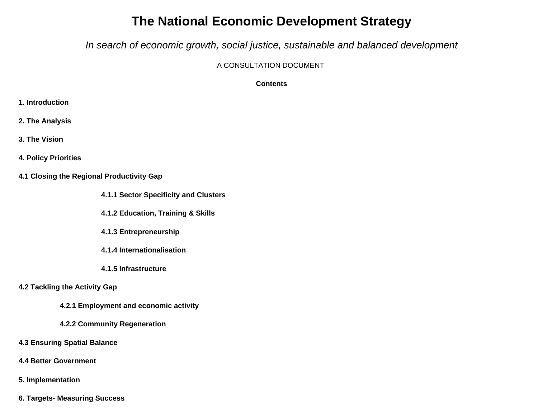# **The National Economic Development Strategy**

*In search of economic growth, social justice, sustainable and balanced development* 

A CONSULTATION DOCUMENT

**Contents**

- **1. Introduction**
- **2. The Analysis**
- **3. The Vision**
- **4. Policy Priorities**
- **4.1 Closing the Regional Productivity Gap**
	- **4.1.1 Sector Specificity and Clusters**
	- **4.1.2 Education, Training & Skills**
	- **4.1.3 Entrepreneurship**
	- **4.1.4 Internationalisation**
	- **4.1.5 Infrastructure**

### **4.2 Tackling the Activity Gap**

- **4.2.1 Employment and economic activity**
- **4.2.2 Community Regeneration**
- **4.3 Ensuring Spatial Balance**
- **4.4 Better Government**
- **5. Implementation**
- **6. Targets- Measuring Success**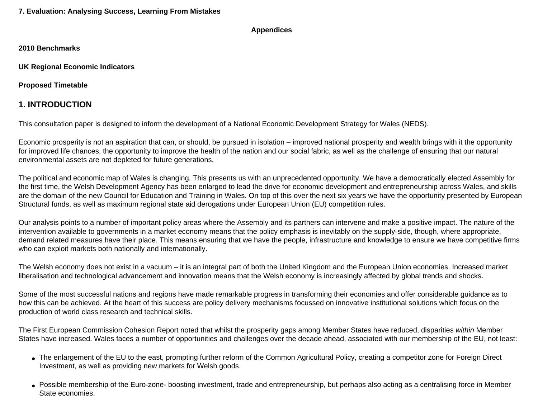#### **Appendices**

**2010 Benchmarks**

**UK Regional Economic Indicators**

**Proposed Timetable** 

## **1. INTRODUCTION**

This consultation paper is designed to inform the development of a National Economic Development Strategy for Wales (NEDS).

Economic prosperity is not an aspiration that can, or should, be pursued in isolation – improved national prosperity and wealth brings with it the opportunity for improved life chances, the opportunity to improve the health of the nation and our social fabric, as well as the challenge of ensuring that our natural environmental assets are not depleted for future generations.

The political and economic map of Wales is changing. This presents us with an unprecedented opportunity. We have a democratically elected Assembly for the first time, the Welsh Development Agency has been enlarged to lead the drive for economic development and entrepreneurship across Wales, and skills are the domain of the new Council for Education and Training in Wales. On top of this over the next six years we have the opportunity presented by European Structural funds, as well as maximum regional state aid derogations under European Union (EU) competition rules.

Our analysis points to a number of important policy areas where the Assembly and its partners can intervene and make a positive impact. The nature of the intervention available to governments in a market economy means that the policy emphasis is inevitably on the supply-side, though, where appropriate, demand related measures have their place. This means ensuring that we have the people, infrastructure and knowledge to ensure we have competitive firms who can exploit markets both nationally and internationally.

The Welsh economy does not exist in a vacuum – it is an integral part of both the United Kingdom and the European Union economies. Increased market liberalisation and technological advancement and innovation means that the Welsh economy is increasingly affected by global trends and shocks.

Some of the most successful nations and regions have made remarkable progress in transforming their economies and offer considerable guidance as to how this can be achieved. At the heart of this success are policy delivery mechanisms focussed on innovative institutional solutions which focus on the production of world class research and technical skills.

The First European Commission Cohesion Report noted that whilst the prosperity gaps among Member States have reduced, disparities *within* Member States have increased. Wales faces a number of opportunities and challenges over the decade ahead, associated with our membership of the EU, not least:

- The enlargement of the EU to the east, prompting further reform of the Common Agricultural Policy, creating a competitor zone for Foreign Direct Investment, as well as providing new markets for Welsh goods.
- Possible membership of the Euro-zone- boosting investment, trade and entrepreneurship, but perhaps also acting as a centralising force in Member State economies.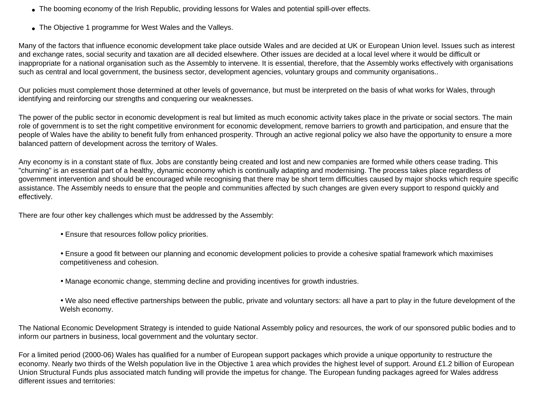- The booming economy of the Irish Republic, providing lessons for Wales and potential spill-over effects.
- The Objective 1 programme for West Wales and the Valleys.

Many of the factors that influence economic development take place outside Wales and are decided at UK or European Union level. Issues such as interest and exchange rates, social security and taxation are all decided elsewhere. Other issues are decided at a local level where it would be difficult or inappropriate for a national organisation such as the Assembly to intervene. It is essential, therefore, that the Assembly works effectively with organisations such as central and local government, the business sector, development agencies, voluntary groups and community organisations..

Our policies must complement those determined at other levels of governance, but must be interpreted on the basis of what works for Wales, through identifying and reinforcing our strengths and conquering our weaknesses.

The power of the public sector in economic development is real but limited as much economic activity takes place in the private or social sectors. The main role of government is to set the right competitive environment for economic development, remove barriers to growth and participation, and ensure that the people of Wales have the ability to benefit fully from enhanced prosperity. Through an active regional policy we also have the opportunity to ensure a more balanced pattern of development across the territory of Wales.

Any economy is in a constant state of flux. Jobs are constantly being created and lost and new companies are formed while others cease trading. This "churning" is an essential part of a healthy, dynamic economy which is continually adapting and modernising. The process takes place regardless of government intervention and should be encouraged while recognising that there may be short term difficulties caused by major shocks which require specific assistance. The Assembly needs to ensure that the people and communities affected by such changes are given every support to respond quickly and effectively.

There are four other key challenges which must be addressed by the Assembly:

- Ensure that resources follow policy priorities.
- Ensure a good fit between our planning and economic development policies to provide a cohesive spatial framework which maximises competitiveness and cohesion.
- Manage economic change, stemming decline and providing incentives for growth industries.
- We also need effective partnerships between the public, private and voluntary sectors: all have a part to play in the future development of the Welsh economy.

The National Economic Development Strategy is intended to guide National Assembly policy and resources, the work of our sponsored public bodies and to inform our partners in business, local government and the voluntary sector.

For a limited period (2000-06) Wales has qualified for a number of European support packages which provide a unique opportunity to restructure the economy. Nearly two thirds of the Welsh population live in the Objective 1 area which provides the highest level of support. Around £1.2 billion of European Union Structural Funds plus associated match funding will provide the impetus for change. The European funding packages agreed for Wales address different issues and territories: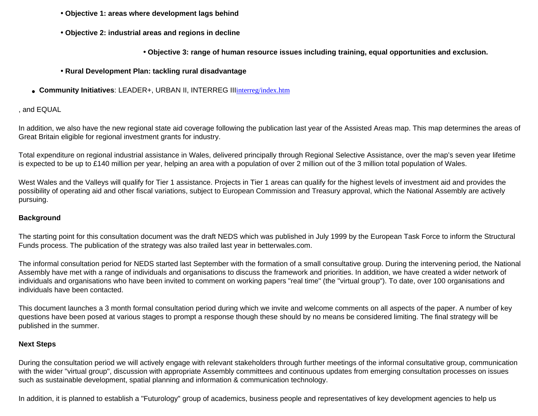- **Objective 1: areas where development lags behind**
- **Objective 2: industrial areas and regions in decline**
	- **Objective 3: range of human resource issues including training, equal opportunities and exclusion.**
- **Rural Development Plan: tackling rural disadvantage**
- **Community Initiatives**: LEADER+, URBAN II, INTERREG III[interreg/index.htm](file:///D|/Dev/test/tempconv/interreg/index.htm)

### , and EQUAL

In addition, we also have the new regional state aid coverage following the publication last year of the Assisted Areas map. This map determines the areas of Great Britain eligible for regional investment grants for industry.

Total expenditure on regional industrial assistance in Wales, delivered principally through Regional Selective Assistance, over the map's seven year lifetime is expected to be up to £140 million per year, helping an area with a population of over 2 million out of the 3 million total population of Wales.

West Wales and the Valleys will qualify for Tier 1 assistance. Projects in Tier 1 areas can qualify for the highest levels of investment aid and provides the possibility of operating aid and other fiscal variations, subject to European Commission and Treasury approval, which the National Assembly are actively pursuing.

### **Background**

The starting point for this consultation document was the draft NEDS which was published in July 1999 by the European Task Force to inform the Structural Funds process. The publication of the strategy was also trailed last year in betterwales.com.

The informal consultation period for NEDS started last September with the formation of a small consultative group. During the intervening period, the National Assembly have met with a range of individuals and organisations to discuss the framework and priorities. In addition, we have created a wider network of individuals and organisations who have been invited to comment on working papers "real time" (the "virtual group"). To date, over 100 organisations and individuals have been contacted.

This document launches a 3 month formal consultation period during which we invite and welcome comments on all aspects of the paper. A number of key questions have been posed at various stages to prompt a response though these should by no means be considered limiting. The final strategy will be published in the summer.

### **Next Steps**

During the consultation period we will actively engage with relevant stakeholders through further meetings of the informal consultative group, communication with the wider "virtual group", discussion with appropriate Assembly committees and continuous updates from emerging consultation processes on issues such as sustainable development, spatial planning and information & communication technology.

In addition, it is planned to establish a "Futurology" group of academics, business people and representatives of key development agencies to help us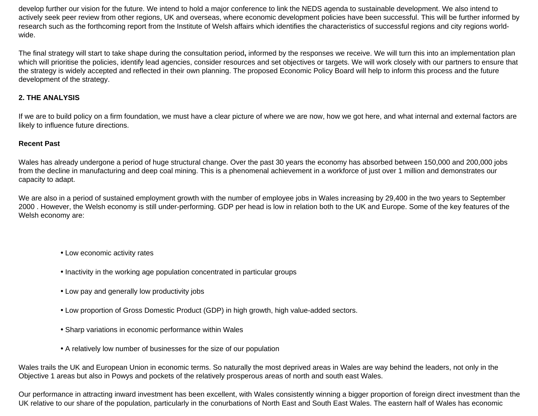develop further our vision for the future. We intend to hold a major conference to link the NEDS agenda to sustainable development. We also intend to actively seek peer review from other regions, UK and overseas, where economic development policies have been successful. This will be further informed by research such as the forthcoming report from the Institute of Welsh affairs which identifies the characteristics of successful regions and city regions worldwide.

The final strategy will start to take shape during the consultation period**,** informed by the responses we receive. We will turn this into an implementation plan which will prioritise the policies, identify lead agencies, consider resources and set objectives or targets. We will work closely with our partners to ensure that the strategy is widely accepted and reflected in their own planning. The proposed Economic Policy Board will help to inform this process and the future development of the strategy.

### **2. THE ANALYSIS**

If we are to build policy on a firm foundation, we must have a clear picture of where we are now, how we got here, and what internal and external factors are likely to influence future directions.

### **Recent Past**

Wales has already undergone a period of huge structural change. Over the past 30 years the economy has absorbed between 150,000 and 200,000 jobs from the decline in manufacturing and deep coal mining. This is a phenomenal achievement in a workforce of just over 1 million and demonstrates our capacity to adapt.

We are also in a period of sustained employment growth with the number of employee jobs in Wales increasing by 29,400 in the two years to September 2000 . However, the Welsh economy is still under-performing. GDP per head is low in relation both to the UK and Europe. Some of the key features of the Welsh economy are:

- Low economic activity rates
- Inactivity in the working age population concentrated in particular groups
- Low pay and generally low productivity jobs
- Low proportion of Gross Domestic Product (GDP) in high growth, high value-added sectors.
- Sharp variations in economic performance within Wales
- A relatively low number of businesses for the size of our population

Wales trails the UK and European Union in economic terms. So naturally the most deprived areas in Wales are way behind the leaders, not only in the Objective 1 areas but also in Powys and pockets of the relatively prosperous areas of north and south east Wales.

Our performance in attracting inward investment has been excellent, with Wales consistently winning a bigger proportion of foreign direct investment than the UK relative to our share of the population, particularly in the conurbations of North East and South East Wales. The eastern half of Wales has economic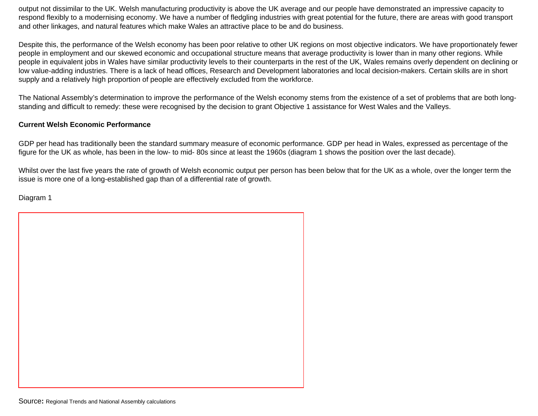output not dissimilar to the UK. Welsh manufacturing productivity is above the UK average and our people have demonstrated an impressive capacity to respond flexibly to a modernising economy. We have a number of fledgling industries with great potential for the future, there are areas with good transport and other linkages, and natural features which make Wales an attractive place to be and do business.

Despite this, the performance of the Welsh economy has been poor relative to other UK regions on most objective indicators. We have proportionately fewer people in employment and our skewed economic and occupational structure means that average productivity is lower than in many other regions. While people in equivalent jobs in Wales have similar productivity levels to their counterparts in the rest of the UK, Wales remains overly dependent on declining or low value-adding industries. There is a lack of head offices, Research and Development laboratories and local decision-makers. Certain skills are in short supply and a relatively high proportion of people are effectively excluded from the workforce.

The National Assembly's determination to improve the performance of the Welsh economy stems from the existence of a set of problems that are both longstanding and difficult to remedy: these were recognised by the decision to grant Objective 1 assistance for West Wales and the Valleys.

### **Current Welsh Economic Performance**

GDP per head has traditionally been the standard summary measure of economic performance. GDP per head in Wales, expressed as percentage of the figure for the UK as whole, has been in the low- to mid- 80s since at least the 1960s (diagram 1 shows the position over the last decade).

Whilst over the last five years the rate of growth of Welsh economic output per person has been below that for the UK as a whole, over the longer term the issue is more one of a long-established gap than of a differential rate of growth.

Diagram 1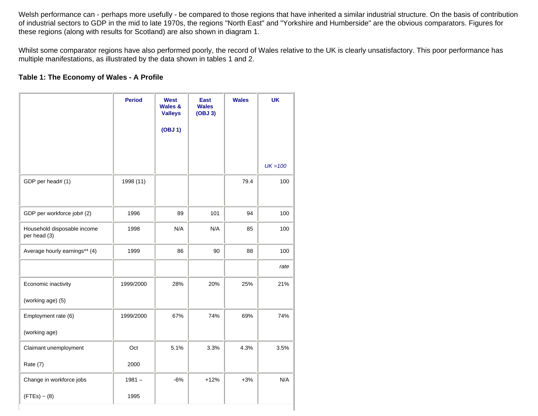Welsh performance can - perhaps more usefully - be compared to those regions that have inherited a similar industrial structure. On the basis of contribution of industrial sectors to GDP in the mid to late 1970s, the regions "North East" and "Yorkshire and Humberside" are the obvious comparators. Figures for these regions (along with results for Scotland) are also shown in diagram 1.

Whilst some comparator regions have also performed poorly, the record of Wales relative to the UK is clearly unsatisfactory. This poor performance has multiple manifestations, as illustrated by the data shown in tables 1 and 2.

### **Table 1: The Economy of Wales - A Profile**

|                                             | <b>Period</b> | <b>West</b><br><b>Wales &amp;</b><br><b>Valleys</b> | <b>East</b><br><b>Wales</b><br>(OBJ <sub>3</sub> ) | <b>Wales</b> | <b>UK</b>  |
|---------------------------------------------|---------------|-----------------------------------------------------|----------------------------------------------------|--------------|------------|
|                                             |               | (OBJ 1)                                             |                                                    |              |            |
|                                             |               |                                                     |                                                    |              |            |
|                                             |               |                                                     |                                                    |              | $UK = 100$ |
| GDP per head# (1)                           | 1998 (11)     |                                                     |                                                    | 79.4         | 100        |
|                                             |               |                                                     |                                                    |              |            |
| GDP per workforce job# (2)                  | 1996          | 89                                                  | 101                                                | 94           | 100        |
| Household disposable income<br>per head (3) | 1998          | N/A                                                 | N/A                                                | 85           | 100        |
| Average hourly earnings** (4)               | 1999          | 86                                                  | 90                                                 | 88           | 100        |
|                                             |               |                                                     |                                                    |              | rate       |
| Economic inactivity                         | 1999/2000     | 28%                                                 | 20%                                                | 25%          | 21%        |
| (working age) (5)                           |               |                                                     |                                                    |              |            |
| Employment rate (6)                         | 1999/2000     | 67%                                                 | 74%                                                | 69%          | 74%        |
| (working age)                               |               |                                                     |                                                    |              |            |
| Claimant unemployment                       | Oct           | 5.1%                                                | 3.3%                                               | 4.3%         | 3.5%       |
| Rate (7)                                    | 2000          |                                                     |                                                    |              |            |
| Change in workforce jobs                    | $1981 -$      | $-6%$                                               | $+12%$                                             | $+3%$        | N/A        |
| $(FTEs) \sim (8)$                           | 1995          |                                                     |                                                    |              |            |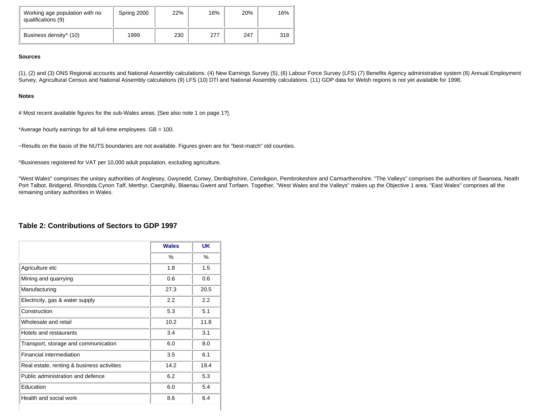| Working age population with no<br>qualifications (9) | Spring 2000 | 22% | 16% | 20% | 16% |
|------------------------------------------------------|-------------|-----|-----|-----|-----|
| Business density <sup><math>\land</math></sup> (10)  | 1999        | 230 | 277 | 247 | 318 |

#### **Sources**

(1), (2) and (3) ONS Regional accounts and National Assembly calculations. (4) New Earnings Survey (5), (6) Labour Force Survey (LFS) (7) Benefits Agency administrative system (8) Annual Employment Survey, Agricultural Census and National Assembly calculations (9) LFS (10) DTI and National Assembly calculations. (11) GDP data for Welsh regions is not yet available for 1998.

#### **Notes**

# Most recent available figures for the sub-Wales areas. [See also note 1 on page 1?].

\*Average hourly earnings for all full-time employees. GB = 100.

~Results on the basis of the NUTS boundaries are not available. Figures given are for "best-match" old counties.

^Businesses registered for VAT per 10,000 adult population, excluding agriculture.

"West Wales" comprises the unitary authorities of Anglesey, Gwynedd, Conwy, Denbighshire, Ceredigion, Pembrokeshire and Carmarthenshire. "The Valleys" comprises the authorities of Swansea, Neath Port Talbot, Bridgend, Rhondda Cynon Taff, Merthyr, Caerphilly, Blaenau Gwent and Torfaen. Together, "West Wales and the Valleys" makes up the Objective 1 area. "East Wales" comprises all the remaining unitary authorities in Wales.

### **Table 2: Contributions of Sectors to GDP 1997**

|                                            | <b>Wales</b> | UK   |
|--------------------------------------------|--------------|------|
|                                            | ℅            | %    |
| Agriculture etc                            | 1.8          | 1.5  |
| Mining and quarrying                       | 0.6          | 0.6  |
| Manufacturing                              | 27.3         | 20.5 |
| Electricity, gas & water supply            | 2.2          | 2.2  |
| Construction                               | 5.3          | 5.1  |
| Wholesale and retail                       | 10.2         | 11.8 |
| Hotels and restaurants                     | 3.4          | 3.1  |
| Transport, storage and communication       | 6.0          | 8.0  |
| Financial intermediation                   | 3.5          | 6.1  |
| Real estate, renting & business activities | 14.2         | 19.4 |
| Public administration and defence          | 6.2          | 5.3  |
| Education                                  | 6.0          | 5.4  |
| Health and social work                     | 8.6          | 6.4  |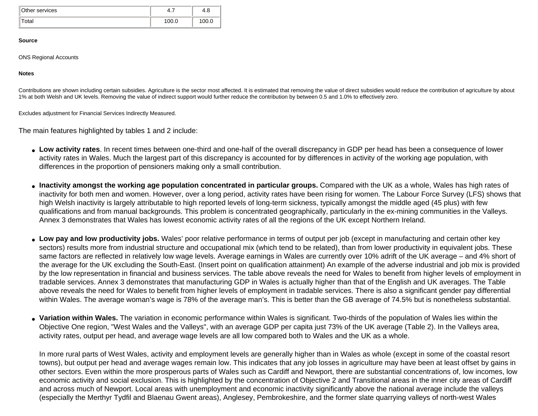| Other services | 4.,   | 4.C  |
|----------------|-------|------|
| otal           | 100.0 | 00.C |

#### **Source**

ONS Regional Accounts

**Notes**

Contributions are shown including certain subsidies. Agriculture is the sector most affected. It is estimated that removing the value of direct subsidies would reduce the contribution of agriculture by about 1% at both Welsh and UK levels. Removing the value of indirect support would further reduce the contribution by between 0.5 and 1.0% to effectively zero.

Excludes adjustment for Financial Services Indirectly Measured.

The main features highlighted by tables 1 and 2 include:

- **Low activity rates**. In recent times between one-third and one-half of the overall discrepancy in GDP per head has been a consequence of lower activity rates in Wales. Much the largest part of this discrepancy is accounted for by differences in activity of the working age population, with differences in the proportion of pensioners making only a small contribution.
- Inactivity amongst the working age population concentrated in particular groups. Compared with the UK as a whole, Wales has high rates of inactivity for both men and women. However, over a long period, activity rates have been rising for women. The Labour Force Survey (LFS) shows that high Welsh inactivity is largely attributable to high reported levels of long-term sickness, typically amongst the middle aged (45 plus) with few qualifications and from manual backgrounds. This problem is concentrated geographically, particularly in the ex-mining communities in the Valleys. Annex 3 demonstrates that Wales has lowest economic activity rates of all the regions of the UK except Northern Ireland.
- Low pay and low productivity jobs. Wales' poor relative performance in terms of output per job (except in manufacturing and certain other key sectors) results more from industrial structure and occupational mix (which tend to be related), than from lower productivity in equivalent jobs. These same factors are reflected in relatively low wage levels. Average earnings in Wales are currently over 10% adrift of the UK average – and 4% short of the average for the UK excluding the South-East. (Insert point on qualification attainment) An example of the adverse industrial and job mix is provided by the low representation in financial and business services. The table above reveals the need for Wales to benefit from higher levels of employment in tradable services. Annex 3 demonstrates that manufacturing GDP in Wales is actually higher than that of the English and UK averages. The Table above reveals the need for Wales to benefit from higher levels of employment in tradable services. There is also a significant gender pay differential within Wales. The average woman's wage is 78% of the average man's. This is better than the GB average of 74.5% but is nonetheless substantial.
- **Variation within Wales.** The variation in economic performance within Wales is significant. Two-thirds of the population of Wales lies within the Objective One region, "West Wales and the Valleys", with an average GDP per capita just 73% of the UK average (Table 2). In the Valleys area, activity rates, output per head, and average wage levels are all low compared both to Wales and the UK as a whole.

In more rural parts of West Wales, activity and employment levels are generally higher than in Wales as whole (except in some of the coastal resort towns), but output per head and average wages remain low. This indicates that any job losses in agriculture may have been at least offset by gains in other sectors. Even within the more prosperous parts of Wales such as Cardiff and Newport, there are substantial concentrations of, low incomes, low economic activity and social exclusion. This is highlighted by the concentration of Objective 2 and Transitional areas in the inner city areas of Cardiff and across much of Newport. Local areas with unemployment and economic inactivity significantly above the national average include the valleys (especially the Merthyr Tydfil and Blaenau Gwent areas), Anglesey, Pembrokeshire, and the former slate quarrying valleys of north-west Wales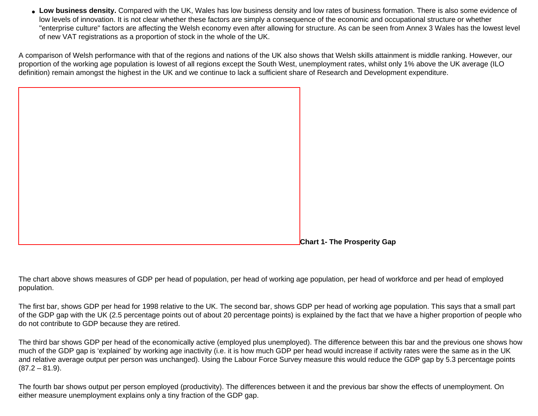• Low business density. Compared with the UK, Wales has low business density and low rates of business formation. There is also some evidence of low levels of innovation. It is not clear whether these factors are simply a consequence of the economic and occupational structure or whether "enterprise culture" factors are affecting the Welsh economy even after allowing for structure. As can be seen from Annex 3 Wales has the lowest level of new VAT registrations as a proportion of stock in the whole of the UK.

A comparison of Welsh performance with that of the regions and nations of the UK also shows that Welsh skills attainment is middle ranking. However, our proportion of the working age population is lowest of all regions except the South West, unemployment rates, whilst only 1% above the UK average (ILO definition) remain amongst the highest in the UK and we continue to lack a sufficient share of Research and Development expenditure.

**Chart 1- The Prosperity Gap**

The chart above shows measures of GDP per head of population, per head of working age population, per head of workforce and per head of employed population.

The first bar, shows GDP per head for 1998 relative to the UK. The second bar, shows GDP per head of working age population. This says that a small part of the GDP gap with the UK (2.5 percentage points out of about 20 percentage points) is explained by the fact that we have a higher proportion of people who do not contribute to GDP because they are retired.

The third bar shows GDP per head of the economically active (employed plus unemployed). The difference between this bar and the previous one shows how much of the GDP gap is 'explained' by working age inactivity (i.e. it is how much GDP per head would increase if activity rates were the same as in the UK and relative average output per person was unchanged). Using the Labour Force Survey measure this would reduce the GDP gap by 5.3 percentage points  $(87.2 - 81.9)$ .

The fourth bar shows output per person employed (productivity). The differences between it and the previous bar show the effects of unemployment. On either measure unemployment explains only a tiny fraction of the GDP gap.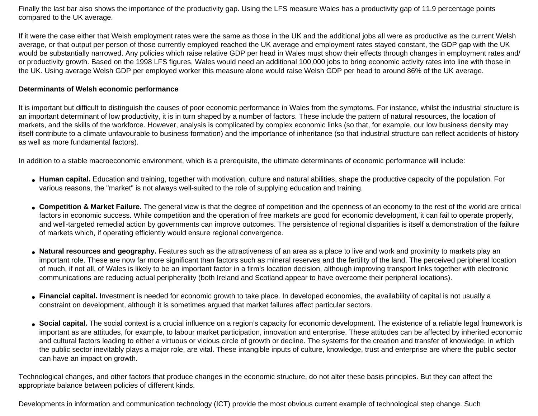Finally the last bar also shows the importance of the productivity gap. Using the LFS measure Wales has a productivity gap of 11.9 percentage points compared to the UK average.

If it were the case either that Welsh employment rates were the same as those in the UK and the additional jobs all were as productive as the current Welsh average, or that output per person of those currently employed reached the UK average and employment rates stayed constant, the GDP gap with the UK would be substantially narrowed. Any policies which raise relative GDP per head in Wales must show their effects through changes in employment rates and/ or productivity growth. Based on the 1998 LFS figures, Wales would need an additional 100,000 jobs to bring economic activity rates into line with those in the UK. Using average Welsh GDP per employed worker this measure alone would raise Welsh GDP per head to around 86% of the UK average.

### **Determinants of Welsh economic performance**

It is important but difficult to distinguish the causes of poor economic performance in Wales from the symptoms. For instance, whilst the industrial structure is an important determinant of low productivity, it is in turn shaped by a number of factors. These include the pattern of natural resources, the location of markets, and the skills of the workforce. However, analysis is complicated by complex economic links (so that, for example, our low business density may itself contribute to a climate unfavourable to business formation) and the importance of inheritance (so that industrial structure can reflect accidents of history as well as more fundamental factors).

In addition to a stable macroeconomic environment, which is a prerequisite, the ultimate determinants of economic performance will include:

- Human capital. Education and training, together with motivation, culture and natural abilities, shape the productive capacity of the population. For various reasons, the "market" is not always well-suited to the role of supplying education and training.
- **Competition & Market Failure.** The general view is that the degree of competition and the openness of an economy to the rest of the world are critical factors in economic success. While competition and the operation of free markets are good for economic development, it can fail to operate properly, and well-targeted remedial action by governments can improve outcomes. The persistence of regional disparities is itself a demonstration of the failure of markets which, if operating efficiently would ensure regional convergence.
- **Natural resources and geography.** Features such as the attractiveness of an area as a place to live and work and proximity to markets play an important role. These are now far more significant than factors such as mineral reserves and the fertility of the land. The perceived peripheral location of much, if not all, of Wales is likely to be an important factor in a firm's location decision, although improving transport links together with electronic communications are reducing actual peripherality (both Ireland and Scotland appear to have overcome their peripheral locations).
- Financial capital. Investment is needed for economic growth to take place. In developed economies, the availability of capital is not usually a constraint on development, although it is sometimes argued that market failures affect particular sectors.
- Social capital. The social context is a crucial influence on a region's capacity for economic development. The existence of a reliable legal framework is important as are attitudes, for example, to labour market participation, innovation and enterprise. These attitudes can be affected by inherited economic and cultural factors leading to either a virtuous or vicious circle of growth or decline. The systems for the creation and transfer of knowledge, in which the public sector inevitably plays a major role, are vital. These intangible inputs of culture, knowledge, trust and enterprise are where the public sector can have an impact on growth.

Technological changes, and other factors that produce changes in the economic structure, do not alter these basis principles. But they can affect the appropriate balance between policies of different kinds.

Developments in information and communication technology (ICT) provide the most obvious current example of technological step change. Such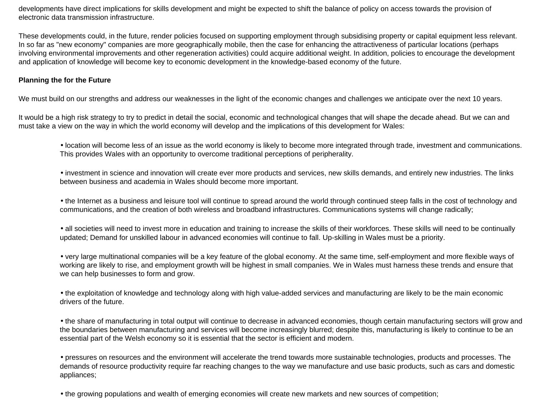developments have direct implications for skills development and might be expected to shift the balance of policy on access towards the provision of electronic data transmission infrastructure.

These developments could, in the future, render policies focused on supporting employment through subsidising property or capital equipment less relevant. In so far as "new economy" companies are more geographically mobile, then the case for enhancing the attractiveness of particular locations (perhaps involving environmental improvements and other regeneration activities) could acquire additional weight. In addition, policies to encourage the development and application of knowledge will become key to economic development in the knowledge-based economy of the future.

### **Planning the for the Future**

We must build on our strengths and address our weaknesses in the light of the economic changes and challenges we anticipate over the next 10 years.

It would be a high risk strategy to try to predict in detail the social, economic and technological changes that will shape the decade ahead. But we can and must take a view on the way in which the world economy will develop and the implications of this development for Wales:

• location will become less of an issue as the world economy is likely to become more integrated through trade, investment and communications. This provides Wales with an opportunity to overcome traditional perceptions of peripherality.

• investment in science and innovation will create ever more products and services, new skills demands, and entirely new industries. The links between business and academia in Wales should become more important.

• the Internet as a business and leisure tool will continue to spread around the world through continued steep falls in the cost of technology and communications, and the creation of both wireless and broadband infrastructures. Communications systems will change radically;

• all societies will need to invest more in education and training to increase the skills of their workforces. These skills will need to be continually updated; Demand for unskilled labour in advanced economies will continue to fall. Up-skilling in Wales must be a priority.

• very large multinational companies will be a key feature of the global economy. At the same time, self-employment and more flexible ways of working are likely to rise, and employment growth will be highest in small companies. We in Wales must harness these trends and ensure that we can help businesses to form and grow.

• the exploitation of knowledge and technology along with high value-added services and manufacturing are likely to be the main economic drivers of the future.

• the share of manufacturing in total output will continue to decrease in advanced economies, though certain manufacturing sectors will grow and the boundaries between manufacturing and services will become increasingly blurred; despite this, manufacturing is likely to continue to be an essential part of the Welsh economy so it is essential that the sector is efficient and modern.

• pressures on resources and the environment will accelerate the trend towards more sustainable technologies, products and processes. The demands of resource productivity require far reaching changes to the way we manufacture and use basic products, such as cars and domestic appliances;

• the growing populations and wealth of emerging economies will create new markets and new sources of competition;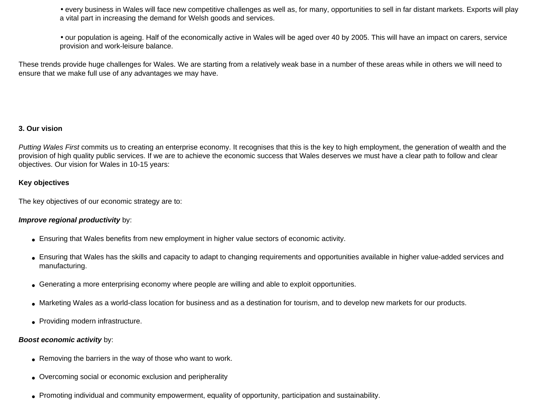• every business in Wales will face new competitive challenges as well as, for many, opportunities to sell in far distant markets. Exports will play a vital part in increasing the demand for Welsh goods and services.

• our population is ageing. Half of the economically active in Wales will be aged over 40 by 2005. This will have an impact on carers, service provision and work-leisure balance.

These trends provide huge challenges for Wales. We are starting from a relatively weak base in a number of these areas while in others we will need to ensure that we make full use of any advantages we may have.

### **3. Our vision**

*Putting Wales First* commits us to creating an enterprise economy. It recognises that this is the key to high employment, the generation of wealth and the provision of high quality public services. If we are to achieve the economic success that Wales deserves we must have a clear path to follow and clear objectives. Our vision for Wales in 10-15 years:

### **Key objectives**

The key objectives of our economic strategy are to:

### *Improve regional productivity* by:

- Ensuring that Wales benefits from new employment in higher value sectors of economic activity.
- Ensuring that Wales has the skills and capacity to adapt to changing requirements and opportunities available in higher value-added services and manufacturing.
- Generating a more enterprising economy where people are willing and able to exploit opportunities.
- Marketing Wales as a world-class location for business and as a destination for tourism, and to develop new markets for our products.
- Providing modern infrastructure.

### *Boost economic activity* by:

- Removing the barriers in the way of those who want to work.
- Overcoming social or economic exclusion and peripherality
- Promoting individual and community empowerment, equality of opportunity, participation and sustainability.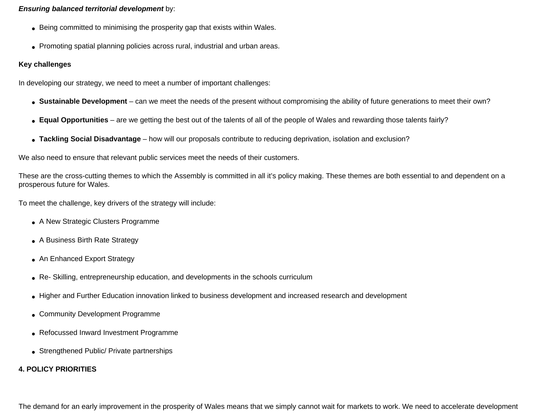### *Ensuring balanced territorial development* by:

- Being committed to minimising the prosperity gap that exists within Wales.
- Promoting spatial planning policies across rural, industrial and urban areas.

### **Key challenges**

In developing our strategy, we need to meet a number of important challenges:

- Sustainable Development can we meet the needs of the present without compromising the ability of future generations to meet their own?
- **Equal Opportunities** are we getting the best out of the talents of all of the people of Wales and rewarding those talents fairly?
- **Tackling Social Disadvantage** how will our proposals contribute to reducing deprivation, isolation and exclusion?

We also need to ensure that relevant public services meet the needs of their customers.

These are the cross-cutting themes to which the Assembly is committed in all it's policy making. These themes are both essential to and dependent on a prosperous future for Wales.

To meet the challenge, key drivers of the strategy will include:

- A New Strategic Clusters Programme
- A Business Birth Rate Strategy
- An Enhanced Export Strategy
- Re- Skilling, entrepreneurship education, and developments in the schools curriculum
- Higher and Further Education innovation linked to business development and increased research and development
- Community Development Programme
- Refocussed Inward Investment Programme
- Strengthened Public/ Private partnerships

### **4. POLICY PRIORITIES**

The demand for an early improvement in the prosperity of Wales means that we simply cannot wait for markets to work. We need to accelerate development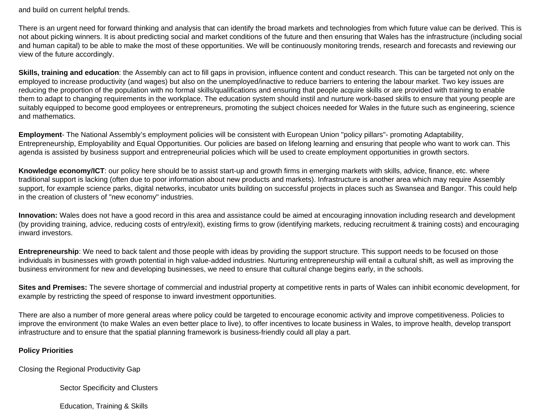and build on current helpful trends.

There is an urgent need for forward thinking and analysis that can identify the broad markets and technologies from which future value can be derived. This is not about picking winners. It is about predicting social and market conditions of the future and then ensuring that Wales has the infrastructure (including social and human capital) to be able to make the most of these opportunities. We will be continuously monitoring trends, research and forecasts and reviewing our view of the future accordingly.

**Skills, training and education**: the Assembly can act to fill gaps in provision, influence content and conduct research. This can be targeted not only on the employed to increase productivity (and wages) but also on the unemployed/inactive to reduce barriers to entering the labour market. Two key issues are reducing the proportion of the population with no formal skills/qualifications and ensuring that people acquire skills or are provided with training to enable them to adapt to changing requirements in the workplace. The education system should instil and nurture work-based skills to ensure that young people are suitably equipped to become good employees or entrepreneurs, promoting the subject choices needed for Wales in the future such as engineering, science and mathematics.

**Employment**- The National Assembly's employment policies will be consistent with European Union "policy pillars"- promoting Adaptability, Entrepreneurship, Employability and Equal Opportunities. Our policies are based on lifelong learning and ensuring that people who want to work can. This agenda is assisted by business support and entrepreneurial policies which will be used to create employment opportunities in growth sectors.

**Knowledge economy/ICT**: our policy here should be to assist start-up and growth firms in emerging markets with skills, advice, finance, etc. where traditional support is lacking (often due to poor information about new products and markets). Infrastructure is another area which may require Assembly support, for example science parks, digital networks, incubator units building on successful projects in places such as Swansea and Bangor. This could help in the creation of clusters of "new economy" industries.

**Innovation:** Wales does not have a good record in this area and assistance could be aimed at encouraging innovation including research and development (by providing training, advice, reducing costs of entry/exit), existing firms to grow (identifying markets, reducing recruitment & training costs) and encouraging inward investors.

**Entrepreneurship**: We need to back talent and those people with ideas by providing the support structure. This support needs to be focused on those individuals in businesses with growth potential in high value-added industries. Nurturing entrepreneurship will entail a cultural shift, as well as improving the business environment for new and developing businesses, we need to ensure that cultural change begins early, in the schools.

**Sites and Premises:** The severe shortage of commercial and industrial property at competitive rents in parts of Wales can inhibit economic development, for example by restricting the speed of response to inward investment opportunities.

There are also a number of more general areas where policy could be targeted to encourage economic activity and improve competitiveness. Policies to improve the environment (to make Wales an even better place to live), to offer incentives to locate business in Wales, to improve health, develop transport infrastructure and to ensure that the spatial planning framework is business-friendly could all play a part.

### **Policy Priorities**

Closing the Regional Productivity Gap

Sector Specificity and Clusters

Education, Training & Skills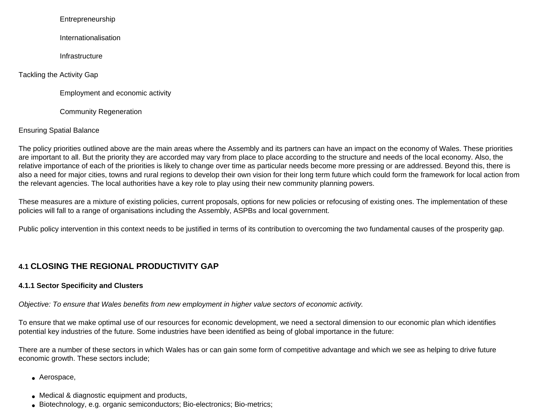### Entrepreneurship

Internationalisation

**Infrastructure** 

Tackling the Activity Gap

Employment and economic activity

Community Regeneration

### Ensuring Spatial Balance

The policy priorities outlined above are the main areas where the Assembly and its partners can have an impact on the economy of Wales. These priorities are important to all. But the priority they are accorded may vary from place to place according to the structure and needs of the local economy. Also, the relative importance of each of the priorities is likely to change over time as particular needs become more pressing or are addressed. Beyond this, there is also a need for major cities, towns and rural regions to develop their own vision for their long term future which could form the framework for local action from the relevant agencies. The local authorities have a key role to play using their new community planning powers.

These measures are a mixture of existing policies, current proposals, options for new policies or refocusing of existing ones. The implementation of these policies will fall to a range of organisations including the Assembly, ASPBs and local government.

Public policy intervention in this context needs to be justified in terms of its contribution to overcoming the two fundamental causes of the prosperity gap.

## **4.1 CLOSING THE REGIONAL PRODUCTIVITY GAP**

### **4.1.1 Sector Specificity and Clusters**

*Objective: To ensure that Wales benefits from new employment in higher value sectors of economic activity.* 

To ensure that we make optimal use of our resources for economic development, we need a sectoral dimension to our economic plan which identifies potential key industries of the future. Some industries have been identified as being of global importance in the future:

There are a number of these sectors in which Wales has or can gain some form of competitive advantage and which we see as helping to drive future economic growth. These sectors include;

- Aerospace,
- Medical & diagnostic equipment and products,
- Biotechnology, e.g. organic semiconductors; Bio-electronics; Bio-metrics;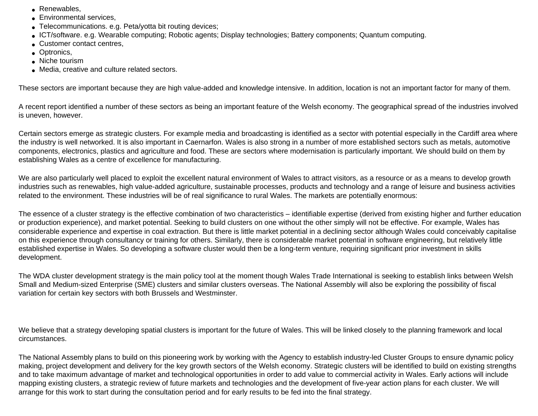- Renewables,
- Environmental services,
- Telecommunications. e.g. Peta/yotta bit routing devices;
- ICT/software. e.g. Wearable computing; Robotic agents; Display technologies; Battery components; Quantum computing.
- Customer contact centres,
- Optronics.
- Niche tourism
- Media, creative and culture related sectors.

These sectors are important because they are high value-added and knowledge intensive. In addition, location is not an important factor for many of them.

A recent report identified a number of these sectors as being an important feature of the Welsh economy. The geographical spread of the industries involved is uneven, however.

Certain sectors emerge as strategic clusters. For example media and broadcasting is identified as a sector with potential especially in the Cardiff area where the industry is well networked. It is also important in Caernarfon. Wales is also strong in a number of more established sectors such as metals, automotive components, electronics, plastics and agriculture and food. These are sectors where modernisation is particularly important. We should build on them by establishing Wales as a centre of excellence for manufacturing.

We are also particularly well placed to exploit the excellent natural environment of Wales to attract visitors, as a resource or as a means to develop growth industries such as renewables, high value-added agriculture, sustainable processes, products and technology and a range of leisure and business activities related to the environment. These industries will be of real significance to rural Wales. The markets are potentially enormous:

The essence of a cluster strategy is the effective combination of two characteristics – identifiable expertise (derived from existing higher and further education or production experience), and market potential. Seeking to build clusters on one without the other simply will not be effective. For example, Wales has considerable experience and expertise in coal extraction. But there is little market potential in a declining sector although Wales could conceivably capitalise on this experience through consultancy or training for others. Similarly, there is considerable market potential in software engineering, but relatively little established expertise in Wales. So developing a software cluster would then be a long-term venture, requiring significant prior investment in skills development.

The WDA cluster development strategy is the main policy tool at the moment though Wales Trade International is seeking to establish links between Welsh Small and Medium-sized Enterprise (SME) clusters and similar clusters overseas. The National Assembly will also be exploring the possibility of fiscal variation for certain key sectors with both Brussels and Westminster.

We believe that a strategy developing spatial clusters is important for the future of Wales. This will be linked closely to the planning framework and local circumstances.

The National Assembly plans to build on this pioneering work by working with the Agency to establish industry-led Cluster Groups to ensure dynamic policy making, project development and delivery for the key growth sectors of the Welsh economy. Strategic clusters will be identified to build on existing strengths and to take maximum advantage of market and technological opportunities in order to add value to commercial activity in Wales. Early actions will include mapping existing clusters, a strategic review of future markets and technologies and the development of five-year action plans for each cluster. We will arrange for this work to start during the consultation period and for early results to be fed into the final strategy.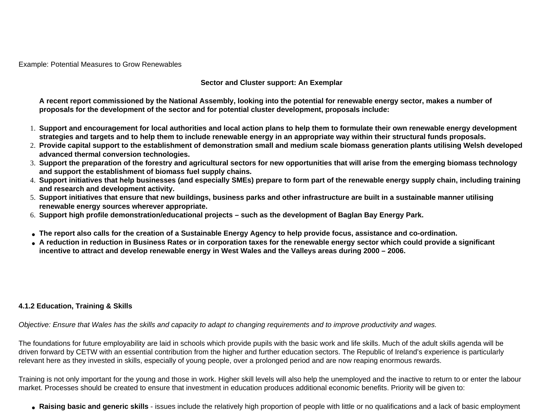Example: Potential Measures to Grow Renewables

### **Sector and Cluster support: An Exemplar**

**A recent report commissioned by the National Assembly, looking into the potential for renewable energy sector, makes a number of proposals for the development of the sector and for potential cluster development, proposals include:** 

- 1. **Support and encouragement for local authorities and local action plans to help them to formulate their own renewable energy development strategies and targets and to help them to include renewable energy in an appropriate way within their structural funds proposals.**
- 2. **Provide capital support to the establishment of demonstration small and medium scale biomass generation plants utilising Welsh developed advanced thermal conversion technologies.**
- 3. **Support the preparation of the forestry and agricultural sectors for new opportunities that will arise from the emerging biomass technology and support the establishment of biomass fuel supply chains.**
- 4. **Support initiatives that help businesses (and especially SMEs) prepare to form part of the renewable energy supply chain, including training and research and development activity.**
- 5. **Support initiatives that ensure that new buildings, business parks and other infrastructure are built in a sustainable manner utilising renewable energy sources wherever appropriate.**
- 6. **Support high profile demonstration/educational projects such as the development of Baglan Bay Energy Park.**
- **The report also calls for the creation of a Sustainable Energy Agency to help provide focus, assistance and co-ordination.**
- **A reduction in reduction in Business Rates or in corporation taxes for the renewable energy sector which could provide a significant incentive to attract and develop renewable energy in West Wales and the Valleys areas during 2000 – 2006.**

### **4.1.2 Education, Training & Skills**

*Objective: Ensure that Wales has the skills and capacity to adapt to changing requirements and to improve productivity and wages.*

The foundations for future employability are laid in schools which provide pupils with the basic work and life skills. Much of the adult skills agenda will be driven forward by CETW with an essential contribution from the higher and further education sectors. The Republic of Ireland's experience is particularly relevant here as they invested in skills, especially of young people, over a prolonged period and are now reaping enormous rewards.

Training is not only important for the young and those in work. Higher skill levels will also help the unemployed and the inactive to return to or enter the labour market. Processes should be created to ensure that investment in education produces additional economic benefits. Priority will be given to:

● **Raising basic and generic skills** - issues include the relatively high proportion of people with little or no qualifications and a lack of basic employment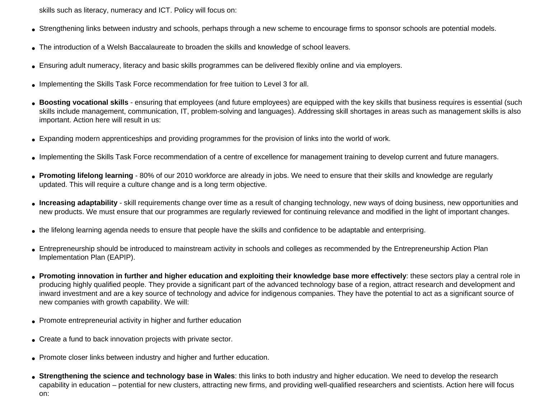skills such as literacy, numeracy and ICT. Policy will focus on:

- Strengthening links between industry and schools, perhaps through a new scheme to encourage firms to sponsor schools are potential models.
- The introduction of a Welsh Baccalaureate to broaden the skills and knowledge of school leavers.
- Ensuring adult numeracy, literacy and basic skills programmes can be delivered flexibly online and via employers.
- Implementing the Skills Task Force recommendation for free tuition to Level 3 for all.
- Boosting vocational skills ensuring that employees (and future employees) are equipped with the key skills that business requires is essential (such skills include management, communication, IT, problem-solving and languages). Addressing skill shortages in areas such as management skills is also important. Action here will result in us:
- Expanding modern apprenticeships and providing programmes for the provision of links into the world of work.
- Implementing the Skills Task Force recommendation of a centre of excellence for management training to develop current and future managers.
- **Promoting lifelong learning** 80% of our 2010 workforce are already in jobs. We need to ensure that their skills and knowledge are regularly updated. This will require a culture change and is a long term objective.
- **Increasing adaptability** skill requirements change over time as a result of changing technology, new ways of doing business, new opportunities and new products. We must ensure that our programmes are regularly reviewed for continuing relevance and modified in the light of important changes.
- the lifelong learning agenda needs to ensure that people have the skills and confidence to be adaptable and enterprising.
- Entrepreneurship should be introduced to mainstream activity in schools and colleges as recommended by the Entrepreneurship Action Plan Implementation Plan (EAPIP).
- **Promoting innovation in further and higher education and exploiting their knowledge base more effectively**: these sectors play a central role in producing highly qualified people. They provide a significant part of the advanced technology base of a region, attract research and development and inward investment and are a key source of technology and advice for indigenous companies. They have the potential to act as a significant source of new companies with growth capability. We will:
- Promote entrepreneurial activity in higher and further education
- Create a fund to back innovation projects with private sector.
- Promote closer links between industry and higher and further education.
- Strengthening the science and technology base in Wales: this links to both industry and higher education. We need to develop the research capability in education – potential for new clusters, attracting new firms, and providing well-qualified researchers and scientists. Action here will focus on: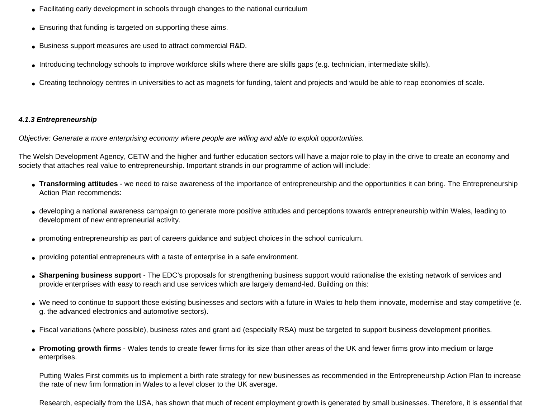- Facilitating early development in schools through changes to the national curriculum
- Ensuring that funding is targeted on supporting these aims.
- Business support measures are used to attract commercial R&D.
- Introducing technology schools to improve workforce skills where there are skills gaps (e.g. technician, intermediate skills).
- Creating technology centres in universities to act as magnets for funding, talent and projects and would be able to reap economies of scale.

### *4.1.3 Entrepreneurship*

*Objective: Generate a more enterprising economy where people are willing and able to exploit opportunities.*

The Welsh Development Agency, CETW and the higher and further education sectors will have a major role to play in the drive to create an economy and society that attaches real value to entrepreneurship. Important strands in our programme of action will include:

- **Transforming attitudes** we need to raise awareness of the importance of entrepreneurship and the opportunities it can bring. The Entrepreneurship Action Plan recommends:
- developing a national awareness campaign to generate more positive attitudes and perceptions towards entrepreneurship within Wales, leading to development of new entrepreneurial activity.
- promoting entrepreneurship as part of careers guidance and subject choices in the school curriculum.
- providing potential entrepreneurs with a taste of enterprise in a safe environment.
- **Sharpening business support** The EDC's proposals for strengthening business support would rationalise the existing network of services and provide enterprises with easy to reach and use services which are largely demand-led. Building on this:
- We need to continue to support those existing businesses and sectors with a future in Wales to help them innovate, modernise and stay competitive (e. g. the advanced electronics and automotive sectors).
- Fiscal variations (where possible), business rates and grant aid (especially RSA) must be targeted to support business development priorities.
- **Promoting growth firms** Wales tends to create fewer firms for its size than other areas of the UK and fewer firms grow into medium or large enterprises.

Putting Wales First commits us to implement a birth rate strategy for new businesses as recommended in the Entrepreneurship Action Plan to increase the rate of new firm formation in Wales to a level closer to the UK average.

Research, especially from the USA, has shown that much of recent employment growth is generated by small businesses. Therefore, it is essential that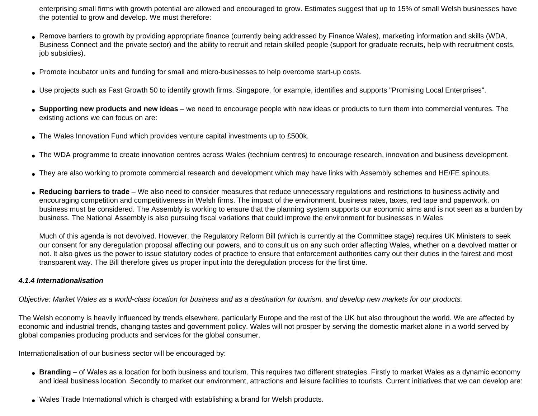enterprising small firms with growth potential are allowed and encouraged to grow. Estimates suggest that up to 15% of small Welsh businesses have the potential to grow and develop. We must therefore:

- Remove barriers to growth by providing appropriate finance (currently being addressed by Finance Wales), marketing information and skills (WDA, Business Connect and the private sector) and the ability to recruit and retain skilled people (support for graduate recruits, help with recruitment costs, job subsidies).
- Promote incubator units and funding for small and micro-businesses to help overcome start-up costs.
- Use projects such as Fast Growth 50 to identify growth firms. Singapore, for example, identifies and supports "Promising Local Enterprises".
- **Supporting new products and new ideas** we need to encourage people with new ideas or products to turn them into commercial ventures. The existing actions we can focus on are:
- The Wales Innovation Fund which provides venture capital investments up to £500k.
- The WDA programme to create innovation centres across Wales (technium centres) to encourage research, innovation and business development.
- They are also working to promote commercial research and development which may have links with Assembly schemes and HE/FE spinouts.
- **Reducing barriers to trade** We also need to consider measures that reduce unnecessary regulations and restrictions to business activity and encouraging competition and competitiveness in Welsh firms. The impact of the environment, business rates, taxes, red tape and paperwork. on business must be considered. The Assembly is working to ensure that the planning system supports our economic aims and is not seen as a burden by business. The National Assembly is also pursuing fiscal variations that could improve the environment for businesses in Wales

Much of this agenda is not devolved. However, the Regulatory Reform Bill (which is currently at the Committee stage) requires UK Ministers to seek our consent for any deregulation proposal affecting our powers, and to consult us on any such order affecting Wales, whether on a devolved matter or not. It also gives us the power to issue statutory codes of practice to ensure that enforcement authorities carry out their duties in the fairest and most transparent way. The Bill therefore gives us proper input into the deregulation process for the first time.

### *4.1.4 Internationalisation*

*Objective: Market Wales as a world-class location for business and as a destination for tourism, and develop new markets for our products.*

The Welsh economy is heavily influenced by trends elsewhere, particularly Europe and the rest of the UK but also throughout the world. We are affected by economic and industrial trends, changing tastes and government policy. Wales will not prosper by serving the domestic market alone in a world served by global companies producing products and services for the global consumer.

Internationalisation of our business sector will be encouraged by:

- **Branding** of Wales as a location for both business and tourism. This requires two different strategies. Firstly to market Wales as a dynamic economy and ideal business location. Secondly to market our environment, attractions and leisure facilities to tourists. Current initiatives that we can develop are:
- Wales Trade International which is charged with establishing a brand for Welsh products.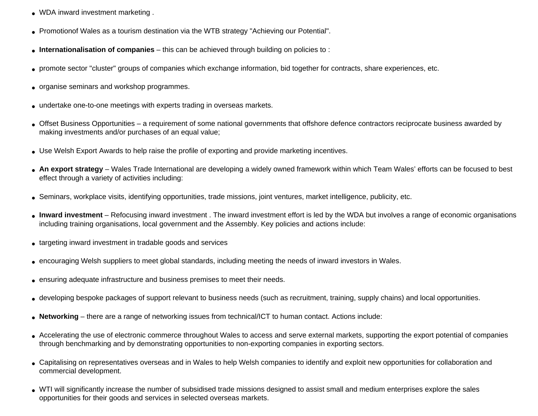- WDA inward investment marketing.
- Promotionof Wales as a tourism destination via the WTB strategy "Achieving our Potential".
- **Internationalisation of companies** this can be achieved through building on policies to :
- promote sector "cluster" groups of companies which exchange information, bid together for contracts, share experiences, etc.
- organise seminars and workshop programmes.
- undertake one-to-one meetings with experts trading in overseas markets.
- Offset Business Opportunities a requirement of some national governments that offshore defence contractors reciprocate business awarded by making investments and/or purchases of an equal value;
- Use Welsh Export Awards to help raise the profile of exporting and provide marketing incentives.
- **An export strategy** Wales Trade International are developing a widely owned framework within which Team Wales' efforts can be focused to best effect through a variety of activities including:
- Seminars, workplace visits, identifying opportunities, trade missions, joint ventures, market intelligence, publicity, etc.
- Inward investment Refocusing inward investment. The inward investment effort is led by the WDA but involves a range of economic organisations including training organisations, local government and the Assembly. Key policies and actions include:
- targeting inward investment in tradable goods and services
- encouraging Welsh suppliers to meet global standards, including meeting the needs of inward investors in Wales.
- ensuring adequate infrastructure and business premises to meet their needs.
- developing bespoke packages of support relevant to business needs (such as recruitment, training, supply chains) and local opportunities.
- **Networking** there are a range of networking issues from technical/ICT to human contact. Actions include:
- Accelerating the use of electronic commerce throughout Wales to access and serve external markets, supporting the export potential of companies through benchmarking and by demonstrating opportunities to non-exporting companies in exporting sectors.
- Capitalising on representatives overseas and in Wales to help Welsh companies to identify and exploit new opportunities for collaboration and commercial development.
- WTI will significantly increase the number of subsidised trade missions designed to assist small and medium enterprises explore the sales opportunities for their goods and services in selected overseas markets.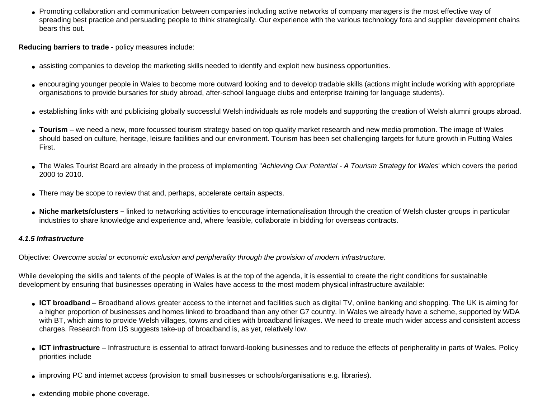• Promoting collaboration and communication between companies including active networks of company managers is the most effective way of spreading best practice and persuading people to think strategically. Our experience with the various technology fora and supplier development chains bears this out.

**Reducing barriers to trade** - policy measures include:

- assisting companies to develop the marketing skills needed to identify and exploit new business opportunities.
- encouraging younger people in Wales to become more outward looking and to develop tradable skills (actions might include working with appropriate organisations to provide bursaries for study abroad, after-school language clubs and enterprise training for language students).
- establishing links with and publicising globally successful Welsh individuals as role models and supporting the creation of Welsh alumni groups abroad.
- **Tourism** we need a new, more focussed tourism strategy based on top quality market research and new media promotion. The image of Wales should based on culture, heritage, leisure facilities and our environment. Tourism has been set challenging targets for future growth in Putting Wales First.
- The Wales Tourist Board are already in the process of implementing "*Achieving Our Potential A Tourism Strategy for Wales*' which covers the period 2000 to 2010.
- There may be scope to review that and, perhaps, accelerate certain aspects.
- **Niche markets/clusters** linked to networking activities to encourage internationalisation through the creation of Welsh cluster groups in particular industries to share knowledge and experience and, where feasible, collaborate in bidding for overseas contracts.

### *4.1.5 Infrastructure*

Objective: *Overcome social or economic exclusion and peripherality through the provision of modern infrastructure.*

While developing the skills and talents of the people of Wales is at the top of the agenda, it is essential to create the right conditions for sustainable development by ensuring that businesses operating in Wales have access to the most modern physical infrastructure available:

- **ICT broadband** Broadband allows greater access to the internet and facilities such as digital TV, online banking and shopping. The UK is aiming for a higher proportion of businesses and homes linked to broadband than any other G7 country. In Wales we already have a scheme, supported by WDA with BT, which aims to provide Welsh villages, towns and cities with broadband linkages. We need to create much wider access and consistent access charges. Research from US suggests take-up of broadband is, as yet, relatively low.
- **ICT infrastructure** Infrastructure is essential to attract forward-looking businesses and to reduce the effects of peripherality in parts of Wales. Policy priorities include
- improving PC and internet access (provision to small businesses or schools/organisations e.g. libraries).
- extending mobile phone coverage.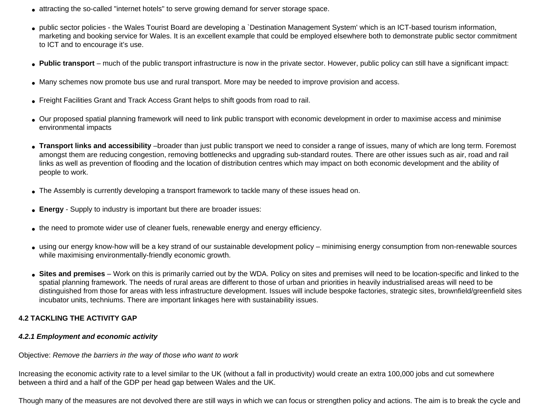- attracting the so-called "internet hotels" to serve growing demand for server storage space.
- public sector policies the Wales Tourist Board are developing a `Destination Management System' which is an ICT-based tourism information, marketing and booking service for Wales. It is an excellent example that could be employed elsewhere both to demonstrate public sector commitment to ICT and to encourage it's use.
- **Public transport** much of the public transport infrastructure is now in the private sector. However, public policy can still have a significant impact:
- Many schemes now promote bus use and rural transport. More may be needed to improve provision and access.
- Freight Facilities Grant and Track Access Grant helps to shift goods from road to rail.
- Our proposed spatial planning framework will need to link public transport with economic development in order to maximise access and minimise environmental impacts
- **Transport links and accessibility** –broader than just public transport we need to consider a range of issues, many of which are long term. Foremost amongst them are reducing congestion, removing bottlenecks and upgrading sub-standard routes. There are other issues such as air, road and rail links as well as prevention of flooding and the location of distribution centres which may impact on both economic development and the ability of people to work.
- The Assembly is currently developing a transport framework to tackle many of these issues head on.
- **Energy** Supply to industry is important but there are broader issues:
- the need to promote wider use of cleaner fuels, renewable energy and energy efficiency.
- using our energy know-how will be a key strand of our sustainable development policy minimising energy consumption from non-renewable sources while maximising environmentally-friendly economic growth.
- Sites and premises Work on this is primarily carried out by the WDA. Policy on sites and premises will need to be location-specific and linked to the spatial planning framework. The needs of rural areas are different to those of urban and priorities in heavily industrialised areas will need to be distinguished from those for areas with less infrastructure development. Issues will include bespoke factories, strategic sites, brownfield/greenfield sites incubator units, techniums. There are important linkages here with sustainability issues.

### **4.2 TACKLING THE ACTIVITY GAP**

### *4.2.1 Employment and economic activity*

Objective: *Remove the barriers in the way of those who want to work*

Increasing the economic activity rate to a level similar to the UK (without a fall in productivity) would create an extra 100,000 jobs and cut somewhere between a third and a half of the GDP per head gap between Wales and the UK.

Though many of the measures are not devolved there are still ways in which we can focus or strengthen policy and actions. The aim is to break the cycle and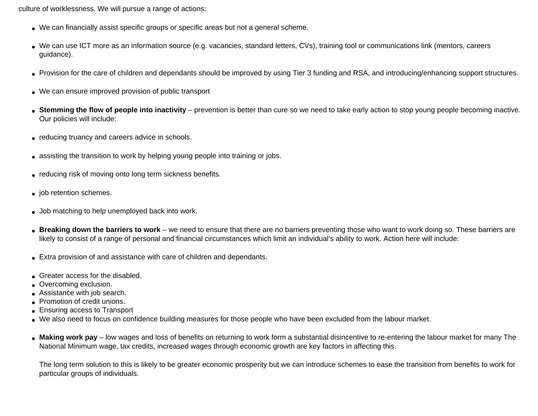culture of worklessness. We will pursue a range of actions:

- We can financially assist specific groups or specific areas but not a general scheme.
- We can use ICT more as an information source (e.g. vacancies, standard letters, CVs), training tool or communications link (mentors, careers guidance).
- Provision for the care of children and dependants should be improved by using Tier 3 funding and RSA, and introducing/enhancing support structures.
- We can ensure improved provision of public transport
- **Stemming the flow of people into inactivity** prevention is better than cure so we need to take early action to stop young people becoming inactive. Our policies will include:
- reducing truancy and careers advice in schools.
- assisting the transition to work by helping young people into training or jobs.
- reducing risk of moving onto long term sickness benefits.
- job retention schemes.
- Job matching to help unemployed back into work.
- Breaking down the barriers to work we need to ensure that there are no barriers preventing those who want to work doing so. These barriers are likely to consist of a range of personal and financial circumstances which limit an individual's ability to work. Action here will include:
- Extra provision of and assistance with care of children and dependants.
- Greater access for the disabled.
- Overcoming exclusion.
- Assistance with job search.
- Promotion of credit unions.
- Ensuring access to Transport
- We also need to focus on confidence building measures for those people who have been excluded from the labour market.
- Making work pay low wages and loss of benefits on returning to work form a substantial disincentive to re-entering the labour market for many The National Minimum wage, tax credits, increased wages through economic growth are key factors in affecting this.

The long term solution to this is likely to be greater economic prosperity but we can introduce schemes to ease the transition from benefits to work for particular groups of individuals.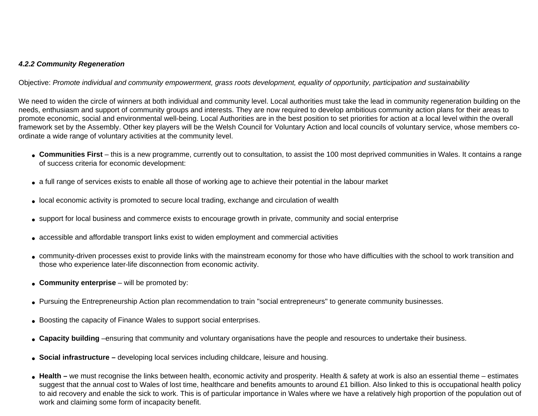### *4.2.2 Community Regeneration*

Objective: *Promote individual and community empowerment, grass roots development, equality of opportunity, participation and sustainability*

We need to widen the circle of winners at both individual and community level. Local authorities must take the lead in community regeneration building on the needs, enthusiasm and support of community groups and interests. They are now required to develop ambitious community action plans for their areas to promote economic, social and environmental well-being. Local Authorities are in the best position to set priorities for action at a local level within the overall framework set by the Assembly. Other key players will be the Welsh Council for Voluntary Action and local councils of voluntary service, whose members coordinate a wide range of voluntary activities at the community level.

- **Communities First** this is a new programme, currently out to consultation, to assist the 100 most deprived communities in Wales. It contains a range of success criteria for economic development:
- a full range of services exists to enable all those of working age to achieve their potential in the labour market
- local economic activity is promoted to secure local trading, exchange and circulation of wealth
- support for local business and commerce exists to encourage growth in private, community and social enterprise
- accessible and affordable transport links exist to widen employment and commercial activities
- community-driven processes exist to provide links with the mainstream economy for those who have difficulties with the school to work transition and those who experience later-life disconnection from economic activity.
- **Community enterprise** will be promoted by:
- Pursuing the Entrepreneurship Action plan recommendation to train "social entrepreneurs" to generate community businesses.
- Boosting the capacity of Finance Wales to support social enterprises.
- **Capacity building** –ensuring that community and voluntary organisations have the people and resources to undertake their business.
- **Social infrastructure** developing local services including childcare, leisure and housing.
- Health we must recognise the links between health, economic activity and prosperity. Health & safety at work is also an essential theme estimates suggest that the annual cost to Wales of lost time, healthcare and benefits amounts to around £1 billion. Also linked to this is occupational health policy to aid recovery and enable the sick to work. This is of particular importance in Wales where we have a relatively high proportion of the population out of work and claiming some form of incapacity benefit.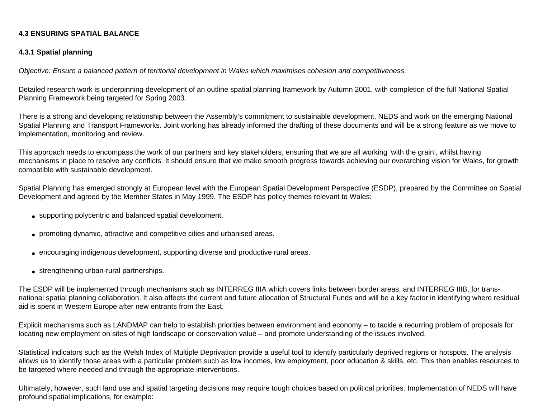### **4.3 ENSURING SPATIAL BALANCE**

### **4.3.1 Spatial planning**

*Objective: Ensure a balanced pattern of territorial development in Wales which maximises cohesion and competitiveness.*

Detailed research work is underpinning development of an outline spatial planning framework by Autumn 2001, with completion of the full National Spatial Planning Framework being targeted for Spring 2003.

There is a strong and developing relationship between the Assembly's commitment to sustainable development, NEDS and work on the emerging National Spatial Planning and Transport Frameworks. Joint working has already informed the drafting of these documents and will be a strong feature as we move to implementation, monitoring and review.

This approach needs to encompass the work of our partners and key stakeholders, ensuring that we are all working 'with the grain', whilst having mechanisms in place to resolve any conflicts. It should ensure that we make smooth progress towards achieving our overarching vision for Wales, for growth compatible with sustainable development.

Spatial Planning has emerged strongly at European level with the European Spatial Development Perspective (ESDP), prepared by the Committee on Spatial Development and agreed by the Member States in May 1999. The ESDP has policy themes relevant to Wales:

- supporting polycentric and balanced spatial development.
- promoting dynamic, attractive and competitive cities and urbanised areas.
- encouraging indigenous development, supporting diverse and productive rural areas.
- strengthening urban-rural partnerships.

The ESDP will be implemented through mechanisms such as INTERREG IIIA which covers links between border areas, and INTERREG IIIB, for transnational spatial planning collaboration. It also affects the current and future allocation of Structural Funds and will be a key factor in identifying where residual aid is spent in Western Europe after new entrants from the East.

Explicit mechanisms such as LANDMAP can help to establish priorities between environment and economy – to tackle a recurring problem of proposals for locating new employment on sites of high landscape or conservation value – and promote understanding of the issues involved.

Statistical indicators such as the Welsh Index of Multiple Deprivation provide a useful tool to identify particularly deprived regions or hotspots. The analysis allows us to identify those areas with a particular problem such as low incomes, low employment, poor education & skills, etc. This then enables resources to be targeted where needed and through the appropriate interventions.

Ultimately, however, such land use and spatial targeting decisions may require tough choices based on political priorities. Implementation of NEDS will have profound spatial implications, for example: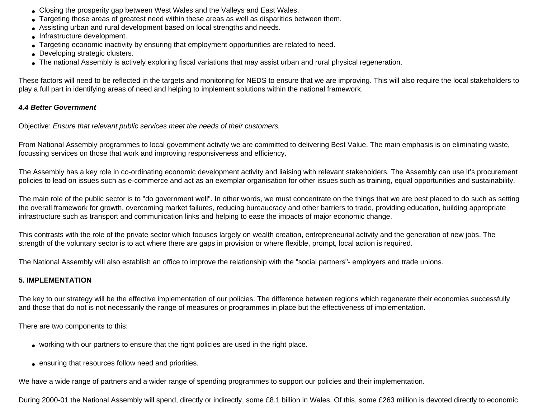- Closing the prosperity gap between West Wales and the Valleys and East Wales.
- Targeting those areas of greatest need within these areas as well as disparities between them.
- Assisting urban and rural development based on local strengths and needs.
- Infrastructure development.
- Targeting economic inactivity by ensuring that employment opportunities are related to need.
- Developing strategic clusters.
- The national Assembly is actively exploring fiscal variations that may assist urban and rural physical regeneration.

These factors will need to be reflected in the targets and monitoring for NEDS to ensure that we are improving. This will also require the local stakeholders to play a full part in identifying areas of need and helping to implement solutions within the national framework.

### *4.4 Better Government*

Objective: *Ensure that relevant public services meet the needs of their customers.*

From National Assembly programmes to local government activity we are committed to delivering Best Value. The main emphasis is on eliminating waste, focussing services on those that work and improving responsiveness and efficiency.

The Assembly has a key role in co-ordinating economic development activity and liaising with relevant stakeholders. The Assembly can use it's procurement policies to lead on issues such as e-commerce and act as an exemplar organisation for other issues such as training, equal opportunities and sustainability.

The main role of the public sector is to "do government well". In other words, we must concentrate on the things that we are best placed to do such as setting the overall framework for growth, overcoming market failures, reducing bureaucracy and other barriers to trade, providing education, building appropriate infrastructure such as transport and communication links and helping to ease the impacts of major economic change.

This contrasts with the role of the private sector which focuses largely on wealth creation, entrepreneurial activity and the generation of new jobs. The strength of the voluntary sector is to act where there are gaps in provision or where flexible, prompt, local action is required.

The National Assembly will also establish an office to improve the relationship with the "social partners"- employers and trade unions.

### **5. IMPLEMENTATION**

The key to our strategy will be the effective implementation of our policies. The difference between regions which regenerate their economies successfully and those that do not is not necessarily the range of measures or programmes in place but the effectiveness of implementation.

There are two components to this:

- working with our partners to ensure that the right policies are used in the right place.
- ensuring that resources follow need and priorities.

We have a wide range of partners and a wider range of spending programmes to support our policies and their implementation.

During 2000-01 the National Assembly will spend, directly or indirectly, some £8.1 billion in Wales. Of this, some £263 million is devoted directly to economic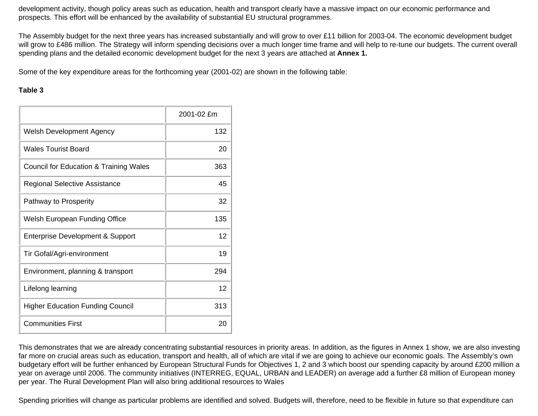development activity, though policy areas such as education, health and transport clearly have a massive impact on our economic performance and prospects. This effort will be enhanced by the availability of substantial EU structural programmes.

The Assembly budget for the next three years has increased substantially and will grow to over £11 billion for 2003-04. The economic development budget will grow to £486 million. The Strategy will inform spending decisions over a much longer time frame and will help to re-tune our budgets. The current overall spending plans and the detailed economic development budget for the next 3 years are attached at **Annex 1.**

Some of the key expenditure areas for the forthcoming year (2001-02) are shown in the following table:

### **Table 3**

|                                             | 2001-02 £m |
|---------------------------------------------|------------|
| <b>Welsh Development Agency</b>             | 132        |
| <b>Wales Tourist Board</b>                  | 20         |
| Council for Education & Training Wales      | 363        |
| Regional Selective Assistance               | 45         |
| Pathway to Prosperity                       | 32         |
| Welsh European Funding Office               | 135        |
| <b>Enterprise Development &amp; Support</b> | 12         |
| Tir Gofal/Agri-environment                  | 19         |
| Environment, planning & transport           | 294        |
| Lifelong learning                           | 12         |
| <b>Higher Education Funding Council</b>     | 313        |
| <b>Communities First</b>                    | 20         |

This demonstrates that we are already concentrating substantial resources in priority areas. In addition, as the figures in Annex 1 show, we are also investing far more on crucial areas such as education, transport and health, all of which are vital if we are going to achieve our economic goals. The Assembly's own budgetary effort will be further enhanced by European Structural Funds for Objectives 1, 2 and 3 which boost our spending capacity by around £200 million a year on average until 2006. The community initiatives (INTERREG, EQUAL, URBAN and LEADER) on average add a further £8 million of European money per year. The Rural Development Plan will also bring additional resources to Wales

Spending priorities will change as particular problems are identified and solved. Budgets will, therefore, need to be flexible in future so that expenditure can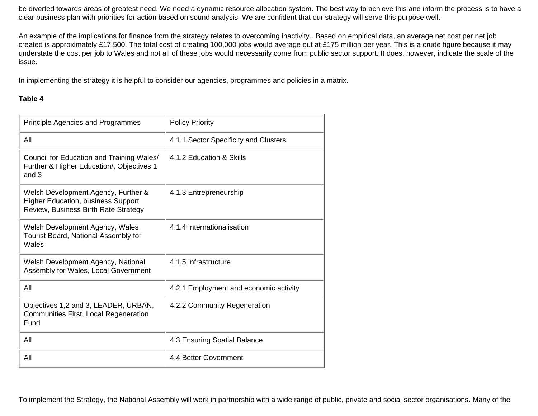be diverted towards areas of greatest need. We need a dynamic resource allocation system. The best way to achieve this and inform the process is to have a clear business plan with priorities for action based on sound analysis. We are confident that our strategy will serve this purpose well.

An example of the implications for finance from the strategy relates to overcoming inactivity.. Based on empirical data, an average net cost per net job created is approximately £17,500. The total cost of creating 100,000 jobs would average out at £175 million per year. This is a crude figure because it may understate the cost per job to Wales and not all of these jobs would necessarily come from public sector support. It does, however, indicate the scale of the issue.

In implementing the strategy it is helpful to consider our agencies, programmes and policies in a matrix.

### **Table 4**

| <b>Principle Agencies and Programmes</b>                                                                                 | <b>Policy Priority</b>                 |
|--------------------------------------------------------------------------------------------------------------------------|----------------------------------------|
| All                                                                                                                      | 4.1.1 Sector Specificity and Clusters  |
| Council for Education and Training Wales/<br>Further & Higher Education/, Objectives 1<br>and 3                          | 4.1.2 Education & Skills               |
| Welsh Development Agency, Further &<br><b>Higher Education, business Support</b><br>Review, Business Birth Rate Strategy | 4.1.3 Entrepreneurship                 |
| Welsh Development Agency, Wales<br>Tourist Board, National Assembly for<br>Wales                                         | 4.1.4 Internationalisation             |
| Welsh Development Agency, National<br>Assembly for Wales, Local Government                                               | 4.1.5 Infrastructure                   |
| All                                                                                                                      | 4.2.1 Employment and economic activity |
| Objectives 1,2 and 3, LEADER, URBAN,<br>Communities First, Local Regeneration<br>Fund                                    | 4.2.2 Community Regeneration           |
| All                                                                                                                      | 4.3 Ensuring Spatial Balance           |
| All                                                                                                                      | 4.4 Better Government                  |

To implement the Strategy, the National Assembly will work in partnership with a wide range of public, private and social sector organisations. Many of the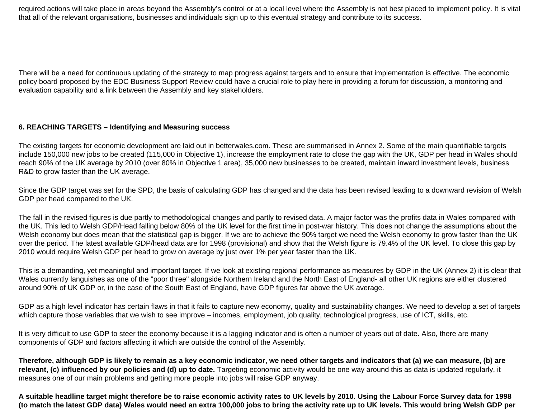required actions will take place in areas beyond the Assembly's control or at a local level where the Assembly is not best placed to implement policy. It is vital that all of the relevant organisations, businesses and individuals sign up to this eventual strategy and contribute to its success.

There will be a need for continuous updating of the strategy to map progress against targets and to ensure that implementation is effective. The economic policy board proposed by the EDC Business Support Review could have a crucial role to play here in providing a forum for discussion, a monitoring and evaluation capability and a link between the Assembly and key stakeholders.

### **6. REACHING TARGETS – Identifying and Measuring success**

The existing targets for economic development are laid out in betterwales.com. These are summarised in Annex 2. Some of the main quantifiable targets include 150,000 new jobs to be created (115,000 in Objective 1), increase the employment rate to close the gap with the UK, GDP per head in Wales should reach 90% of the UK average by 2010 (over 80% in Objective 1 area), 35,000 new businesses to be created, maintain inward investment levels, business R&D to grow faster than the UK average.

Since the GDP target was set for the SPD, the basis of calculating GDP has changed and the data has been revised leading to a downward revision of Welsh GDP per head compared to the UK.

The fall in the revised figures is due partly to methodological changes and partly to revised data. A major factor was the profits data in Wales compared with the UK. This led to Welsh GDP/Head falling below 80% of the UK level for the first time in post-war history. This does not change the assumptions about the Welsh economy but does mean that the statistical gap is bigger. If we are to achieve the 90% target we need the Welsh economy to grow faster than the UK over the period. The latest available GDP/head data are for 1998 (provisional) and show that the Welsh figure is 79.4% of the UK level. To close this gap by 2010 would require Welsh GDP per head to grow on average by just over 1% per year faster than the UK.

This is a demanding, yet meaningful and important target. If we look at existing regional performance as measures by GDP in the UK (Annex 2) it is clear that Wales currently languishes as one of the "poor three" alongside Northern Ireland and the North East of England- all other UK regions are either clustered around 90% of UK GDP or, in the case of the South East of England, have GDP figures far above the UK average.

GDP as a high level indicator has certain flaws in that it fails to capture new economy, quality and sustainability changes. We need to develop a set of targets which capture those variables that we wish to see improve – incomes, employment, job quality, technological progress, use of ICT, skills, etc.

It is very difficult to use GDP to steer the economy because it is a lagging indicator and is often a number of years out of date. Also, there are many components of GDP and factors affecting it which are outside the control of the Assembly.

**Therefore, although GDP is likely to remain as a key economic indicator, we need other targets and indicators that (a) we can measure, (b) are relevant, (c) influenced by our policies and (d) up to date.** Targeting economic activity would be one way around this as data is updated regularly, it measures one of our main problems and getting more people into jobs will raise GDP anyway.

**A suitable headline target might therefore be to raise economic activity rates to UK levels by 2010. Using the Labour Force Survey data for 1998 (to match the latest GDP data) Wales would need an extra 100,000 jobs to bring the activity rate up to UK levels. This would bring Welsh GDP per**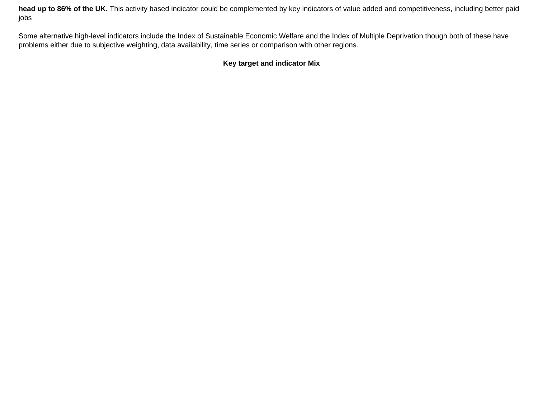**head up to 86% of the UK.** This activity based indicator could be complemented by key indicators of value added and competitiveness, including better paid jobs

Some alternative high-level indicators include the Index of Sustainable Economic Welfare and the Index of Multiple Deprivation though both of these have problems either due to subjective weighting, data availability, time series or comparison with other regions.

### **Key target and indicator Mix**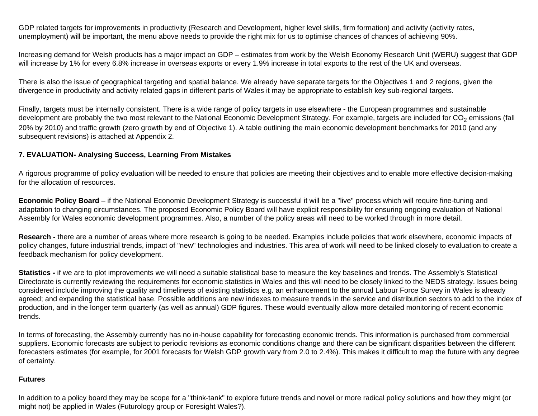GDP related targets for improvements in productivity (Research and Development, higher level skills, firm formation) and activity (activity rates, unemployment) will be important, the menu above needs to provide the right mix for us to optimise chances of chances of achieving 90%.

Increasing demand for Welsh products has a major impact on GDP – estimates from work by the Welsh Economy Research Unit (WERU) suggest that GDP will increase by 1% for every 6.8% increase in overseas exports or every 1.9% increase in total exports to the rest of the UK and overseas.

There is also the issue of geographical targeting and spatial balance. We already have separate targets for the Objectives 1 and 2 regions, given the divergence in productivity and activity related gaps in different parts of Wales it may be appropriate to establish key sub-regional targets.

Finally, targets must be internally consistent. There is a wide range of policy targets in use elsewhere - the European programmes and sustainable development are probably the two most relevant to the National Economic Development Strategy. For example, targets are included for CO<sub>2</sub> emissions (fall 20% by 2010) and traffic growth (zero growth by end of Objective 1). A table outlining the main economic development benchmarks for 2010 (and any subsequent revisions) is attached at Appendix 2.

### **7. EVALUATION- Analysing Success, Learning From Mistakes**

A rigorous programme of policy evaluation will be needed to ensure that policies are meeting their objectives and to enable more effective decision-making for the allocation of resources.

**Economic Policy Board** – if the National Economic Development Strategy is successful it will be a "live" process which will require fine-tuning and adaptation to changing circumstances. The proposed Economic Policy Board will have explicit responsibility for ensuring ongoing evaluation of National Assembly for Wales economic development programmes. Also, a number of the policy areas will need to be worked through in more detail.

**Research -** there are a number of areas where more research is going to be needed. Examples include policies that work elsewhere, economic impacts of policy changes, future industrial trends, impact of "new" technologies and industries. This area of work will need to be linked closely to evaluation to create a feedback mechanism for policy development.

**Statistics -** if we are to plot improvements we will need a suitable statistical base to measure the key baselines and trends. The Assembly's Statistical Directorate is currently reviewing the requirements for economic statistics in Wales and this will need to be closely linked to the NEDS strategy. Issues being considered include improving the quality and timeliness of existing statistics e.g. an enhancement to the annual Labour Force Survey in Wales is already agreed; and expanding the statistical base. Possible additions are new indexes to measure trends in the service and distribution sectors to add to the index of production, and in the longer term quarterly (as well as annual) GDP figures. These would eventually allow more detailed monitoring of recent economic trends.

In terms of forecasting, the Assembly currently has no in-house capability for forecasting economic trends. This information is purchased from commercial suppliers. Economic forecasts are subject to periodic revisions as economic conditions change and there can be significant disparities between the different forecasters estimates (for example, for 2001 forecasts for Welsh GDP growth vary from 2.0 to 2.4%). This makes it difficult to map the future with any degree of certainty.

### **Futures**

In addition to a policy board they may be scope for a "think-tank" to explore future trends and novel or more radical policy solutions and how they might (or might not) be applied in Wales (Futurology group or Foresight Wales?).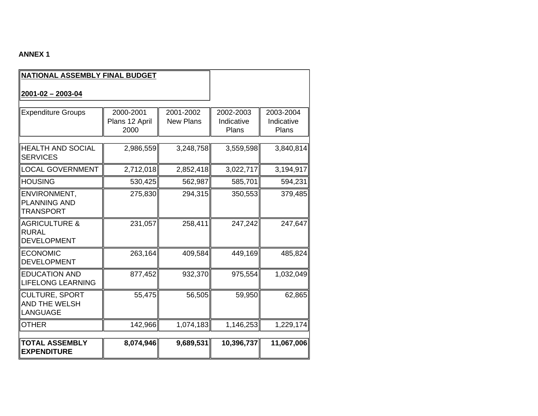## **ANNEX 1**

| NATIONAL ASSEMBLY FINAL BUDGET                                 |                                     |                               |                                  |                                  |
|----------------------------------------------------------------|-------------------------------------|-------------------------------|----------------------------------|----------------------------------|
| $2001 - 02 - 2003 - 04$                                        |                                     |                               |                                  |                                  |
| <b>Expenditure Groups</b>                                      | 2000-2001<br>Plans 12 April<br>2000 | 2001-2002<br><b>New Plans</b> | 2002-2003<br>Indicative<br>Plans | 2003-2004<br>Indicative<br>Plans |
| <b>HEALTH AND SOCIAL</b><br><b>SERVICES</b>                    | 2,986,559                           | 3,248,758                     | 3,559,598                        | 3,840,814                        |
| LOCAL GOVERNMENT                                               | 2,712,018                           | 2,852,418                     | 3,022,717                        | 3,194,917                        |
| <b>HOUSING</b>                                                 | 530,425                             | 562,987                       | 585,701                          | 594,231                          |
| ENVIRONMENT,<br><b>PLANNING AND</b><br>TRANSPORT               | 275,830                             | 294,315                       | 350,553                          | 379,485                          |
| <b>AGRICULTURE &amp;</b><br><b>RURAL</b><br><b>DEVELOPMENT</b> | 231,057                             | 258,411                       | 247,242                          | 247,647                          |
| <b>ECONOMIC</b><br><b>DEVELOPMENT</b>                          | 263,164                             | 409,584                       | 449,169                          | 485,824                          |
| <b>EDUCATION AND</b><br><b>LIFELONG LEARNING</b>               | 877,452                             | 932,370                       | 975,554                          | 1,032,049                        |
| <b>CULTURE, SPORT</b><br><b>AND THE WELSH</b><br>LANGUAGE      | 55,475                              | 56,505                        | 59,950                           | 62,865                           |
| <b>OTHER</b>                                                   | 142,966                             | 1,074,183                     | 1,146,253                        | 1,229,174                        |
| ∥TOTAL ASSEMBLY<br><b>EXPENDITURE</b>                          | 8,074,946                           | 9,689,531                     | 10,396,737                       | 11,067,006                       |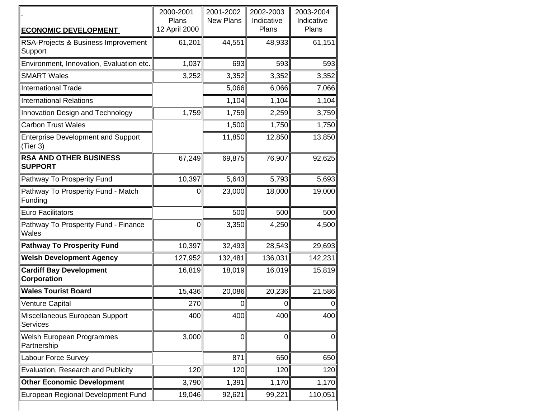|                                                       | 2000-2001<br>Plans | 2001-2002<br><b>New Plans</b> | 2002-2003<br>Indicative | 2003-2004<br>Indicative |
|-------------------------------------------------------|--------------------|-------------------------------|-------------------------|-------------------------|
| <b>ECONOMIC DEVELOPMENT</b>                           | 12 April 2000      |                               | Plans                   | Plans                   |
| RSA-Projects & Business Improvement<br>Support        | 61,201             | 44,551                        | 48,933                  | 61,151                  |
| Environment, Innovation, Evaluation etc.              | 1,037              | 693                           | 593                     | 593                     |
| <b>SMART Wales</b>                                    | 3,252              | 3,352                         | 3,352                   | 3,352                   |
| <b>International Trade</b>                            |                    | 5,066                         | 6,066                   | 7,066                   |
| <b>International Relations</b>                        |                    | 1,104                         | 1,104                   | 1,104                   |
| Innovation Design and Technology                      | 1,759              | 1,759                         | 2,259                   | 3,759                   |
| <b>Carbon Trust Wales</b>                             |                    | 1,500                         | 1,750                   | 1,750                   |
| <b>Enterprise Development and Support</b><br>(Tier 3) |                    | 11,850                        | 12,850                  | 13,850                  |
| <b>RSA AND OTHER BUSINESS</b><br><b>SUPPORT</b>       | 67,249             | 69,875                        | 76,907                  | 92,625                  |
| Pathway To Prosperity Fund                            | 10,397             | 5,643                         | 5,793                   | 5,693                   |
| Pathway To Prosperity Fund - Match<br>Funding         | 0                  | 23,000                        | 18,000                  | 19,000                  |
| <b>Euro Facilitators</b>                              |                    | 500                           | 500                     | 500                     |
| Pathway To Prosperity Fund - Finance<br>Wales         | $\boldsymbol{0}$   | 3,350                         | 4,250                   | 4,500                   |
| <b>Pathway To Prosperity Fund</b>                     | 10,397             | 32,493                        | 28,543                  | 29,693                  |
| <b>Welsh Development Agency</b>                       | 127,952            | 132,481                       | 136,031                 | 142,231                 |
| <b>Cardiff Bay Development</b><br>Corporation         | 16,819             | 18,019                        | 16,019                  | 15,819                  |
| <b>Wales Tourist Board</b>                            | 15,436             | 20,086                        | 20,236                  | 21,586                  |
| <b>Venture Capital</b>                                | 270                | 0                             | $\overline{0}$          | 0                       |
| Miscellaneous European Support<br>Services            | 400                | 400                           | 400                     | 400                     |
| Welsh European Programmes<br>Partnership              | 3,000              | $\boldsymbol{0}$              | $\mathbf 0$             | 0                       |
| Labour Force Survey                                   |                    | 871                           | 650                     | 650                     |
| Evaluation, Research and Publicity                    | 120                | 120                           | 120                     | 120                     |
| <b>Other Economic Development</b>                     | 3,790              | 1,391                         | 1,170                   | 1,170                   |
| European Regional Development Fund                    | 19,046             | 92,621                        | 99,221                  | 110,051                 |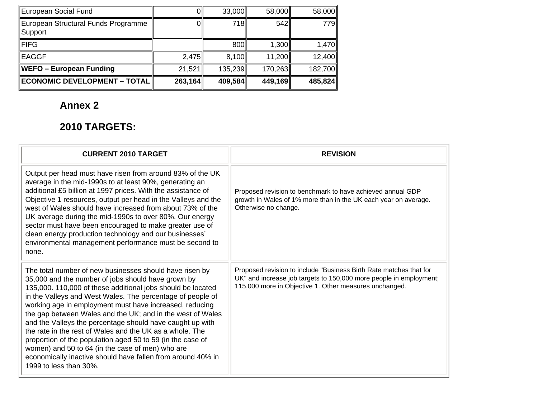| European Social Fund                           |         | 33,000  | 58,000  | 58,000  |
|------------------------------------------------|---------|---------|---------|---------|
| European Structural Funds Programme<br>Support |         | 718     | 542     | 779     |
| <b>FIFG</b>                                    |         | 800     | 1,300   | 1,470   |
| EAGGF                                          | 2,475   | 8,100   | 11,200  | 12,400  |
| WEFO – European Funding                        | 21,521  | 135,239 | 170,263 | 182,700 |
| <b>ECONOMIC DEVELOPMENT - TOTAL</b>            | 263,164 | 409,584 | 449,169 | 485,824 |

# **Annex 2**

# **2010 TARGETS:**

| <b>CURRENT 2010 TARGET</b>                                                                                                                                                                                                                                                                                                                                                                                                                                                                                                                                                                                                                                                                              | <b>REVISION</b>                                                                                                                                                                                    |
|---------------------------------------------------------------------------------------------------------------------------------------------------------------------------------------------------------------------------------------------------------------------------------------------------------------------------------------------------------------------------------------------------------------------------------------------------------------------------------------------------------------------------------------------------------------------------------------------------------------------------------------------------------------------------------------------------------|----------------------------------------------------------------------------------------------------------------------------------------------------------------------------------------------------|
| Output per head must have risen from around 83% of the UK<br>average in the mid-1990s to at least 90%, generating an<br>additional £5 billion at 1997 prices. With the assistance of<br>Objective 1 resources, output per head in the Valleys and the<br>west of Wales should have increased from about 73% of the<br>UK average during the mid-1990s to over 80%. Our energy<br>sector must have been encouraged to make greater use of<br>clean energy production technology and our businesses'<br>environmental management performance must be second to<br>none.                                                                                                                                   | Proposed revision to benchmark to have achieved annual GDP<br>growth in Wales of 1% more than in the UK each year on average.<br>Otherwise no change.                                              |
| The total number of new businesses should have risen by<br>35,000 and the number of jobs should have grown by<br>135,000. 110,000 of these additional jobs should be located<br>in the Valleys and West Wales. The percentage of people of<br>working age in employment must have increased, reducing<br>the gap between Wales and the UK; and in the west of Wales<br>and the Valleys the percentage should have caught up with<br>the rate in the rest of Wales and the UK as a whole. The<br>proportion of the population aged 50 to 59 (in the case of<br>women) and 50 to 64 (in the case of men) who are<br>economically inactive should have fallen from around 40% in<br>1999 to less than 30%. | Proposed revision to include "Business Birth Rate matches that for<br>UK" and increase job targets to 150,000 more people in employment;<br>115,000 more in Objective 1. Other measures unchanged. |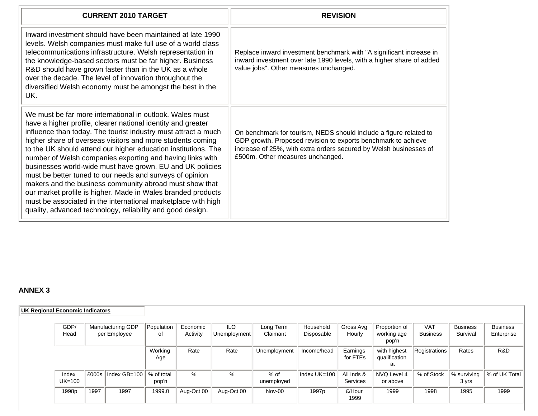| <b>CURRENT 2010 TARGET</b>                                                                                                                                                                                                                                                                                                                                                                                                                                                                                                                                                                                                                                                                                                                                                 | <b>REVISION</b>                                                                                                                                                                                                                             |
|----------------------------------------------------------------------------------------------------------------------------------------------------------------------------------------------------------------------------------------------------------------------------------------------------------------------------------------------------------------------------------------------------------------------------------------------------------------------------------------------------------------------------------------------------------------------------------------------------------------------------------------------------------------------------------------------------------------------------------------------------------------------------|---------------------------------------------------------------------------------------------------------------------------------------------------------------------------------------------------------------------------------------------|
| Inward investment should have been maintained at late 1990<br>levels. Welsh companies must make full use of a world class<br>telecommunications infrastructure. Welsh representation in<br>the knowledge-based sectors must be far higher. Business<br>R&D should have grown faster than in the UK as a whole<br>over the decade. The level of innovation throughout the<br>diversified Welsh economy must be amongst the best in the<br>UK.                                                                                                                                                                                                                                                                                                                               | Replace inward investment benchmark with "A significant increase in<br>inward investment over late 1990 levels, with a higher share of added<br>value jobs". Other measures unchanged.                                                      |
| We must be far more international in outlook. Wales must<br>have a higher profile, clearer national identity and greater<br>influence than today. The tourist industry must attract a much<br>higher share of overseas visitors and more students coming<br>to the UK should attend our higher education institutions. The<br>number of Welsh companies exporting and having links with<br>businesses world-wide must have grown. EU and UK policies<br>must be better tuned to our needs and surveys of opinion<br>makers and the business community abroad must show that<br>our market profile is higher. Made in Wales branded products<br>must be associated in the international marketplace with high<br>quality, advanced technology, reliability and good design. | On benchmark for tourism, NEDS should include a figure related to<br>GDP growth. Proposed revision to exports benchmark to achieve<br>increase of 25%, with extra orders secured by Welsh businesses of<br>£500m. Other measures unchanged. |

## **ANNEX 3**

| <b>UK Regional Economic Indicators</b> |                   |      |                                   |                     |                      |                            |                       |                         |                        |                                       |                               |                             |                               |
|----------------------------------------|-------------------|------|-----------------------------------|---------------------|----------------------|----------------------------|-----------------------|-------------------------|------------------------|---------------------------------------|-------------------------------|-----------------------------|-------------------------------|
|                                        | GDP/<br>Head      |      | Manufacturing GDP<br>per Employee | Population<br>οf    | Economic<br>Activity | <b>ILO</b><br>Unemployment | Long Term<br>Claimant | Household<br>Disposable | Gross Avg<br>Hourly    | Proportion of<br>working age<br>pop'n | <b>VAT</b><br><b>Business</b> | <b>Business</b><br>Survival | <b>Business</b><br>Enterprise |
|                                        |                   |      |                                   | Working<br>Age      | Rate                 | Rate                       | Unemployment          | Income/head             | Earnings<br>for FTEs   | with highest<br>qualification<br>at   | Registrations                 | Rates                       | R&D                           |
|                                        | Index<br>$UK=100$ |      | E000s   Index GB=100              | % of total<br>pop'n | $\%$                 | %                          | $%$ of<br>unemployed  | Index UK=100            | All Inds &<br>Services | NVQ Level 4<br>or above               | % of Stock                    | % surviving<br>3 yrs        | % of UK Total                 |
|                                        | 1998 <sub>p</sub> | 1997 | 1997                              | 1999.0              | Aug-Oct 00           | Aug-Oct 00                 | Nov-00                | 1997 <sub>p</sub>       | £/Hour<br>1999         | 1999                                  | 1998                          | 1995                        | 1999                          |